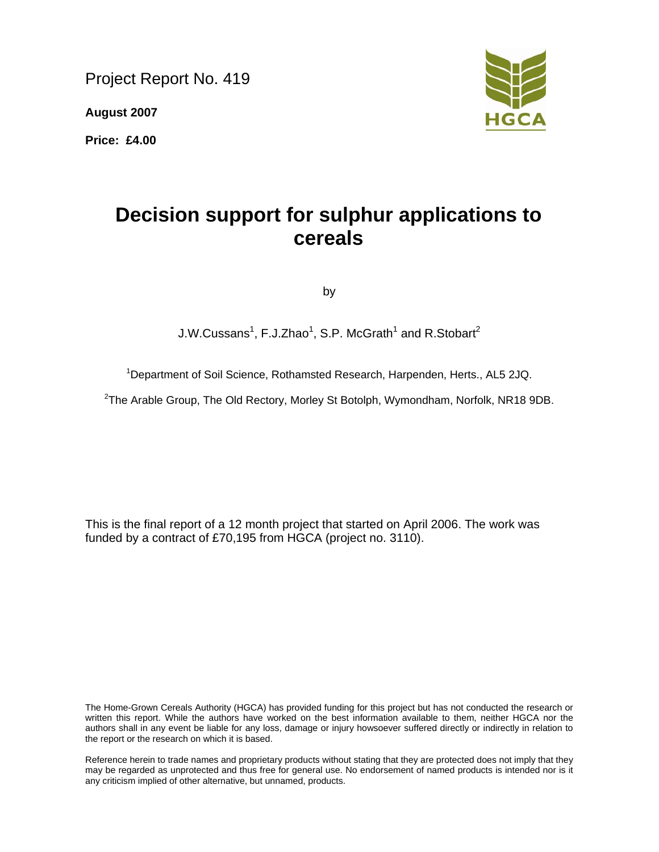Project Report No. 419

**August 2007** 

**Price: £4.00** 



# **Decision support for sulphur applications to cereals**

by

 $J.W.Cussans<sup>1</sup>, F.J.Zhao<sup>1</sup>, S.P. McGrath<sup>1</sup> and R.Stobart<sup>2</sup>$ 

<sup>1</sup>Department of Soil Science, Rothamsted Research, Harpenden, Herts., AL5 2JQ.

<sup>2</sup>The Arable Group, The Old Rectory, Morley St Botolph, Wymondham, Norfolk, NR18 9DB.

This is the final report of a 12 month project that started on April 2006. The work was funded by a contract of £70,195 from HGCA (project no. 3110).

The Home-Grown Cereals Authority (HGCA) has provided funding for this project but has not conducted the research or written this report. While the authors have worked on the best information available to them, neither HGCA nor the authors shall in any event be liable for any loss, damage or injury howsoever suffered directly or indirectly in relation to the report or the research on which it is based.

Reference herein to trade names and proprietary products without stating that they are protected does not imply that they may be regarded as unprotected and thus free for general use. No endorsement of named products is intended nor is it any criticism implied of other alternative, but unnamed, products.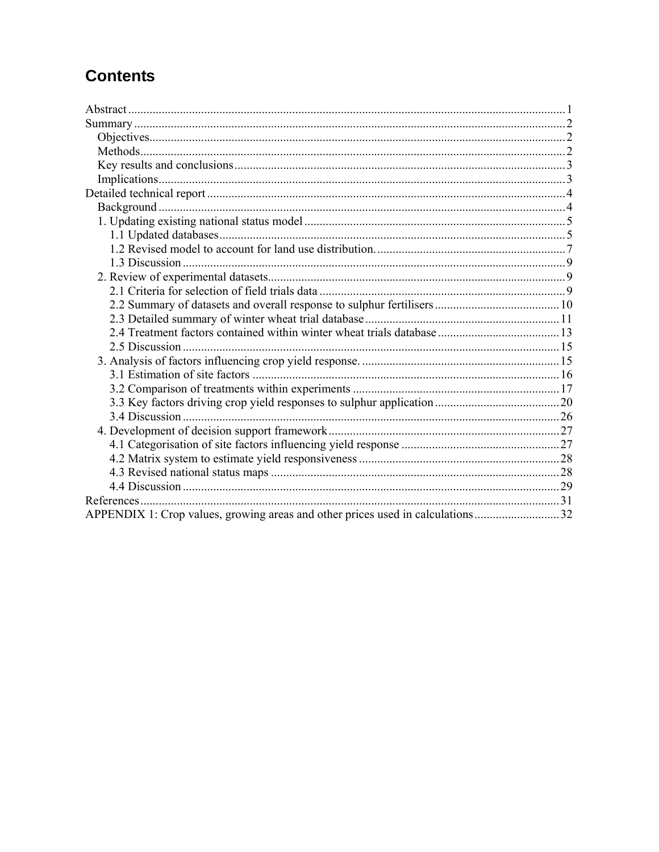# **Contents**

| APPENDIX 1: Crop values, growing areas and other prices used in calculations32 |  |
|--------------------------------------------------------------------------------|--|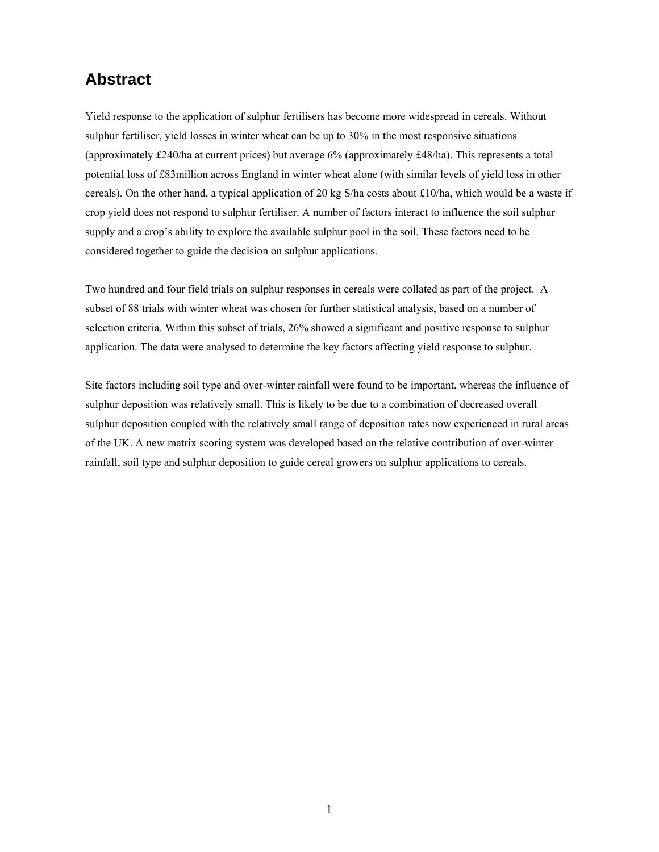## **Abstract**

Yield response to the application of sulphur fertilisers has become more widespread in cereals. Without sulphur fertiliser, yield losses in winter wheat can be up to 30% in the most responsive situations (approximately £240/ha at current prices) but average 6% (approximately £48/ha). This represents a total potential loss of £83million across England in winter wheat alone (with similar levels of yield loss in other cereals). On the other hand, a typical application of 20 kg S/ha costs about £10/ha, which would be a waste if crop yield does not respond to sulphur fertiliser. A number of factors interact to influence the soil sulphur supply and a crop's ability to explore the available sulphur pool in the soil. These factors need to be considered together to guide the decision on sulphur applications.

Two hundred and four field trials on sulphur responses in cereals were collated as part of the project. A subset of 88 trials with winter wheat was chosen for further statistical analysis, based on a number of selection criteria. Within this subset of trials, 26% showed a significant and positive response to sulphur application. The data were analysed to determine the key factors affecting yield response to sulphur.

Site factors including soil type and over-winter rainfall were found to be important, whereas the influence of sulphur deposition was relatively small. This is likely to be due to a combination of decreased overall sulphur deposition coupled with the relatively small range of deposition rates now experienced in rural areas of the UK. A new matrix scoring system was developed based on the relative contribution of over-winter rainfall, soil type and sulphur deposition to guide cereal growers on sulphur applications to cereals.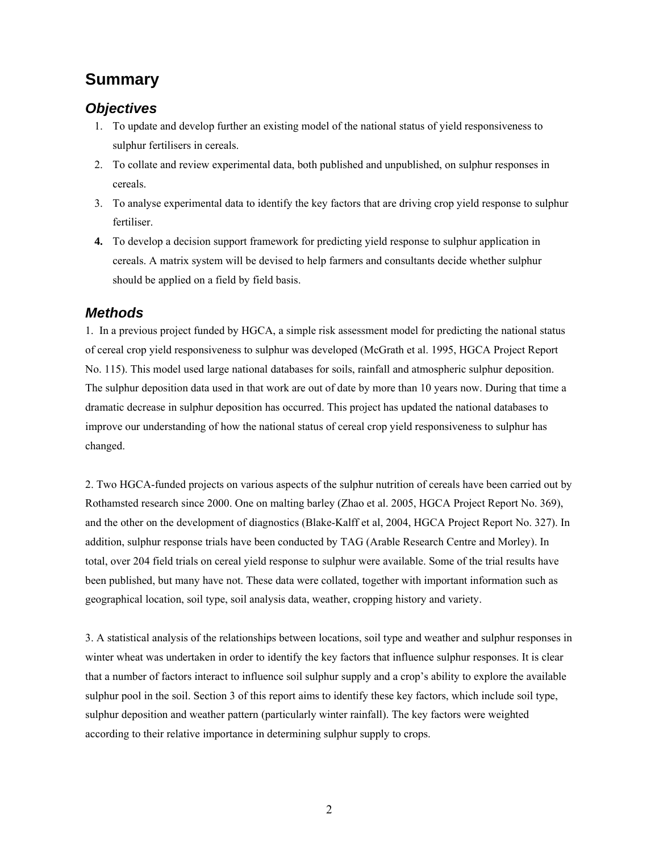## **Summary**

## *Objectives*

- 1. To update and develop further an existing model of the national status of yield responsiveness to sulphur fertilisers in cereals.
- 2. To collate and review experimental data, both published and unpublished, on sulphur responses in cereals.
- 3. To analyse experimental data to identify the key factors that are driving crop yield response to sulphur fertiliser.
- **4.** To develop a decision support framework for predicting yield response to sulphur application in cereals. A matrix system will be devised to help farmers and consultants decide whether sulphur should be applied on a field by field basis.

## *Methods*

1. In a previous project funded by HGCA, a simple risk assessment model for predicting the national status of cereal crop yield responsiveness to sulphur was developed (McGrath et al. 1995, HGCA Project Report No. 115). This model used large national databases for soils, rainfall and atmospheric sulphur deposition. The sulphur deposition data used in that work are out of date by more than 10 years now. During that time a dramatic decrease in sulphur deposition has occurred. This project has updated the national databases to improve our understanding of how the national status of cereal crop yield responsiveness to sulphur has changed.

2. Two HGCA-funded projects on various aspects of the sulphur nutrition of cereals have been carried out by Rothamsted research since 2000. One on malting barley (Zhao et al. 2005, HGCA Project Report No. 369), and the other on the development of diagnostics (Blake-Kalff et al, 2004, HGCA Project Report No. 327). In addition, sulphur response trials have been conducted by TAG (Arable Research Centre and Morley). In total, over 204 field trials on cereal yield response to sulphur were available. Some of the trial results have been published, but many have not. These data were collated, together with important information such as geographical location, soil type, soil analysis data, weather, cropping history and variety.

3. A statistical analysis of the relationships between locations, soil type and weather and sulphur responses in winter wheat was undertaken in order to identify the key factors that influence sulphur responses. It is clear that a number of factors interact to influence soil sulphur supply and a crop's ability to explore the available sulphur pool in the soil. Section 3 of this report aims to identify these key factors, which include soil type, sulphur deposition and weather pattern (particularly winter rainfall). The key factors were weighted according to their relative importance in determining sulphur supply to crops.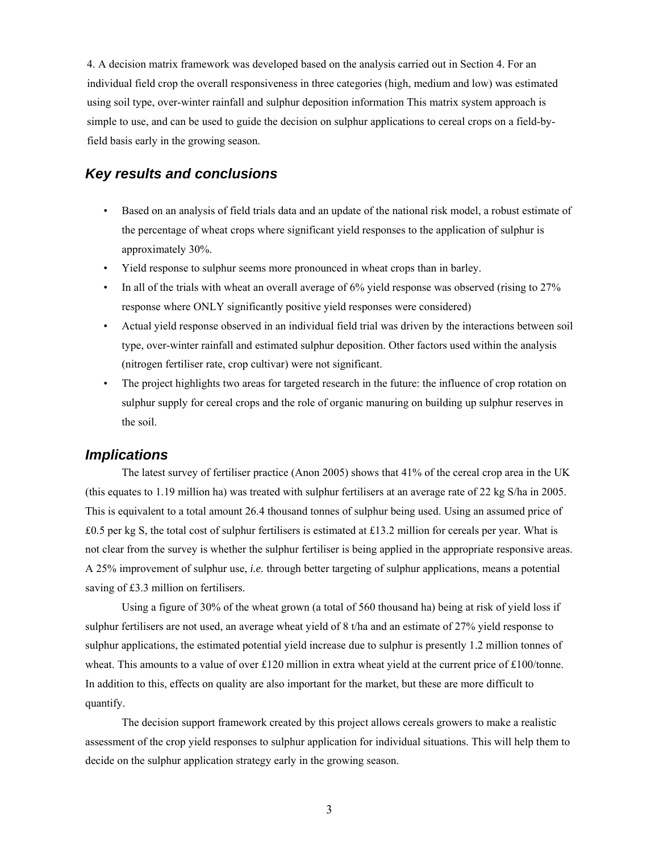4. A decision matrix framework was developed based on the analysis carried out in Section 4. For an individual field crop the overall responsiveness in three categories (high, medium and low) was estimated using soil type, over-winter rainfall and sulphur deposition information This matrix system approach is simple to use, and can be used to guide the decision on sulphur applications to cereal crops on a field-byfield basis early in the growing season.

## *Key results and conclusions*

- Based on an analysis of field trials data and an update of the national risk model, a robust estimate of the percentage of wheat crops where significant yield responses to the application of sulphur is approximately 30%.
- Yield response to sulphur seems more pronounced in wheat crops than in barley.
- In all of the trials with wheat an overall average of 6% yield response was observed (rising to 27% response where ONLY significantly positive yield responses were considered)
- Actual yield response observed in an individual field trial was driven by the interactions between soil type, over-winter rainfall and estimated sulphur deposition. Other factors used within the analysis (nitrogen fertiliser rate, crop cultivar) were not significant.
- The project highlights two areas for targeted research in the future: the influence of crop rotation on sulphur supply for cereal crops and the role of organic manuring on building up sulphur reserves in the soil.

#### *Implications*

The latest survey of fertiliser practice (Anon 2005) shows that 41% of the cereal crop area in the UK (this equates to 1.19 million ha) was treated with sulphur fertilisers at an average rate of 22 kg S/ha in 2005. This is equivalent to a total amount 26.4 thousand tonnes of sulphur being used. Using an assumed price of £0.5 per kg S, the total cost of sulphur fertilisers is estimated at £13.2 million for cereals per year. What is not clear from the survey is whether the sulphur fertiliser is being applied in the appropriate responsive areas. A 25% improvement of sulphur use, *i.e.* through better targeting of sulphur applications, means a potential saving of £3.3 million on fertilisers.

 Using a figure of 30% of the wheat grown (a total of 560 thousand ha) being at risk of yield loss if sulphur fertilisers are not used, an average wheat yield of 8 t/ha and an estimate of 27% yield response to sulphur applications, the estimated potential yield increase due to sulphur is presently 1.2 million tonnes of wheat. This amounts to a value of over £120 million in extra wheat yield at the current price of £100/tonne. In addition to this, effects on quality are also important for the market, but these are more difficult to quantify.

 The decision support framework created by this project allows cereals growers to make a realistic assessment of the crop yield responses to sulphur application for individual situations. This will help them to decide on the sulphur application strategy early in the growing season.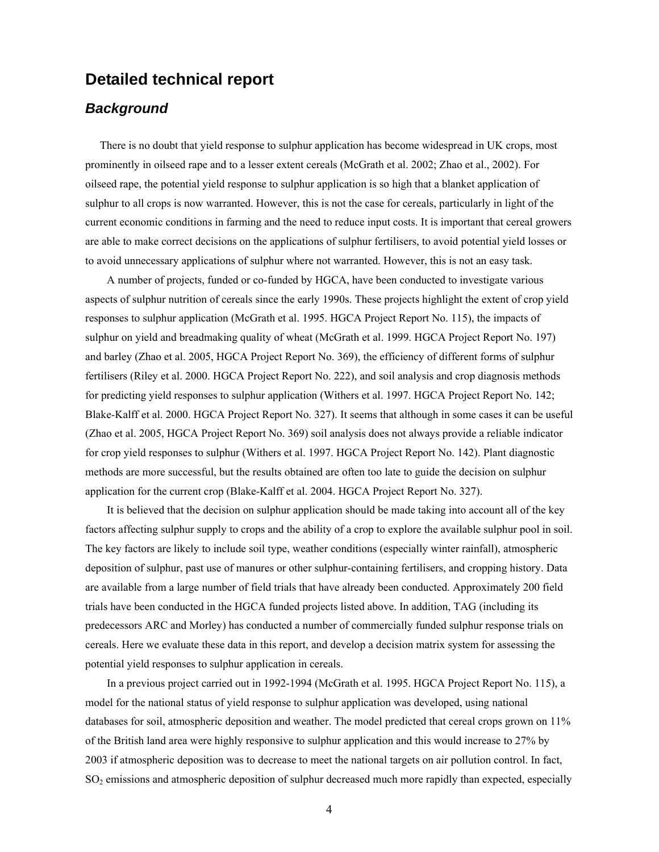## **Detailed technical report**

## *Background*

 There is no doubt that yield response to sulphur application has become widespread in UK crops, most prominently in oilseed rape and to a lesser extent cereals (McGrath et al. 2002; Zhao et al., 2002). For oilseed rape, the potential yield response to sulphur application is so high that a blanket application of sulphur to all crops is now warranted. However, this is not the case for cereals, particularly in light of the current economic conditions in farming and the need to reduce input costs. It is important that cereal growers are able to make correct decisions on the applications of sulphur fertilisers, to avoid potential yield losses or to avoid unnecessary applications of sulphur where not warranted. However, this is not an easy task.

A number of projects, funded or co-funded by HGCA, have been conducted to investigate various aspects of sulphur nutrition of cereals since the early 1990s. These projects highlight the extent of crop yield responses to sulphur application (McGrath et al. 1995. HGCA Project Report No. 115), the impacts of sulphur on yield and breadmaking quality of wheat (McGrath et al. 1999. HGCA Project Report No. 197) and barley (Zhao et al. 2005, HGCA Project Report No. 369), the efficiency of different forms of sulphur fertilisers (Riley et al. 2000. HGCA Project Report No. 222), and soil analysis and crop diagnosis methods for predicting yield responses to sulphur application (Withers et al. 1997. HGCA Project Report No. 142; Blake-Kalff et al. 2000. HGCA Project Report No. 327). It seems that although in some cases it can be useful (Zhao et al. 2005, HGCA Project Report No. 369) soil analysis does not always provide a reliable indicator for crop yield responses to sulphur (Withers et al. 1997. HGCA Project Report No. 142). Plant diagnostic methods are more successful, but the results obtained are often too late to guide the decision on sulphur application for the current crop (Blake-Kalff et al. 2004. HGCA Project Report No. 327).

It is believed that the decision on sulphur application should be made taking into account all of the key factors affecting sulphur supply to crops and the ability of a crop to explore the available sulphur pool in soil. The key factors are likely to include soil type, weather conditions (especially winter rainfall), atmospheric deposition of sulphur, past use of manures or other sulphur-containing fertilisers, and cropping history. Data are available from a large number of field trials that have already been conducted. Approximately 200 field trials have been conducted in the HGCA funded projects listed above. In addition, TAG (including its predecessors ARC and Morley) has conducted a number of commercially funded sulphur response trials on cereals. Here we evaluate these data in this report, and develop a decision matrix system for assessing the potential yield responses to sulphur application in cereals.

In a previous project carried out in 1992-1994 (McGrath et al. 1995. HGCA Project Report No. 115), a model for the national status of yield response to sulphur application was developed, using national databases for soil, atmospheric deposition and weather. The model predicted that cereal crops grown on 11% of the British land area were highly responsive to sulphur application and this would increase to 27% by 2003 if atmospheric deposition was to decrease to meet the national targets on air pollution control. In fact,  $SO<sub>2</sub>$  emissions and atmospheric deposition of sulphur decreased much more rapidly than expected, especially

4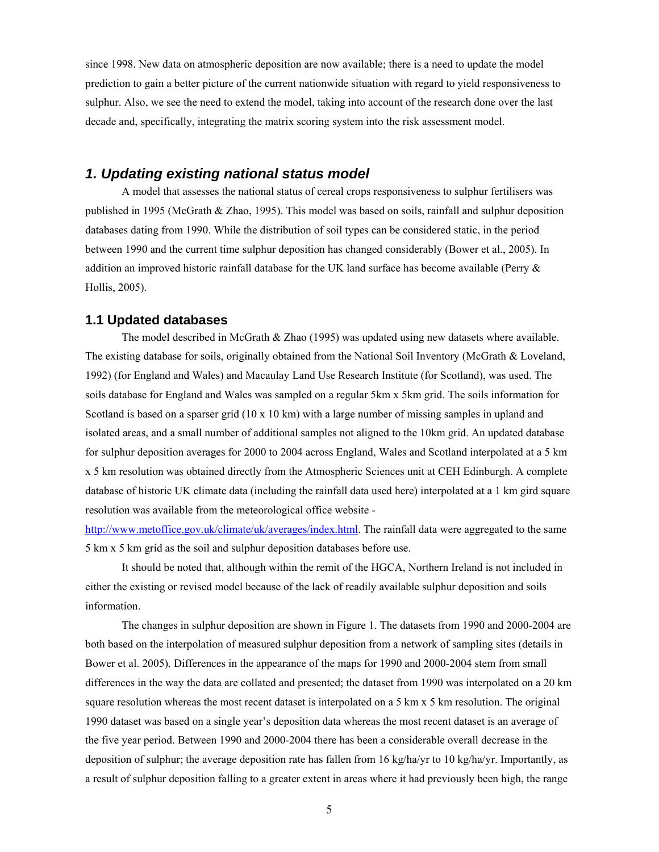since 1998. New data on atmospheric deposition are now available; there is a need to update the model prediction to gain a better picture of the current nationwide situation with regard to yield responsiveness to sulphur. Also, we see the need to extend the model, taking into account of the research done over the last decade and, specifically, integrating the matrix scoring system into the risk assessment model.

## *1. Updating existing national status model*

A model that assesses the national status of cereal crops responsiveness to sulphur fertilisers was published in 1995 (McGrath & Zhao, 1995). This model was based on soils, rainfall and sulphur deposition databases dating from 1990. While the distribution of soil types can be considered static, in the period between 1990 and the current time sulphur deposition has changed considerably (Bower et al., 2005). In addition an improved historic rainfall database for the UK land surface has become available (Perry  $\&$ Hollis, 2005).

#### **1.1 Updated databases**

The model described in McGrath  $&$  Zhao (1995) was updated using new datasets where available. The existing database for soils, originally obtained from the National Soil Inventory (McGrath & Loveland, 1992) (for England and Wales) and Macaulay Land Use Research Institute (for Scotland), was used. The soils database for England and Wales was sampled on a regular 5km x 5km grid. The soils information for Scotland is based on a sparser grid (10 x 10 km) with a large number of missing samples in upland and isolated areas, and a small number of additional samples not aligned to the 10km grid. An updated database for sulphur deposition averages for 2000 to 2004 across England, Wales and Scotland interpolated at a 5 km x 5 km resolution was obtained directly from the Atmospheric Sciences unit at CEH Edinburgh. A complete database of historic UK climate data (including the rainfall data used here) interpolated at a 1 km gird square resolution was available from the meteorological office website -

http://www.metoffice.gov.uk/climate/uk/averages/index.html. The rainfall data were aggregated to the same 5 km x 5 km grid as the soil and sulphur deposition databases before use.

It should be noted that, although within the remit of the HGCA, Northern Ireland is not included in either the existing or revised model because of the lack of readily available sulphur deposition and soils information.

The changes in sulphur deposition are shown in Figure 1. The datasets from 1990 and 2000-2004 are both based on the interpolation of measured sulphur deposition from a network of sampling sites (details in Bower et al. 2005). Differences in the appearance of the maps for 1990 and 2000-2004 stem from small differences in the way the data are collated and presented; the dataset from 1990 was interpolated on a 20 km square resolution whereas the most recent dataset is interpolated on a 5 km x 5 km resolution. The original 1990 dataset was based on a single year's deposition data whereas the most recent dataset is an average of the five year period. Between 1990 and 2000-2004 there has been a considerable overall decrease in the deposition of sulphur; the average deposition rate has fallen from 16 kg/ha/yr to 10 kg/ha/yr. Importantly, as a result of sulphur deposition falling to a greater extent in areas where it had previously been high, the range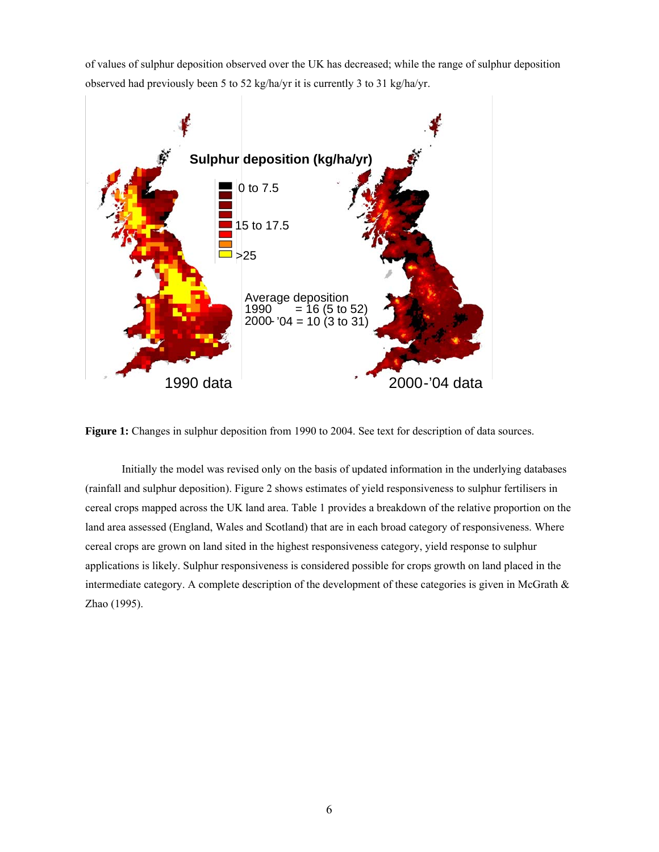of values of sulphur deposition observed over the UK has decreased; while the range of sulphur deposition observed had previously been 5 to 52 kg/ha/yr it is currently 3 to 31 kg/ha/yr.



**Figure 1:** Changes in sulphur deposition from 1990 to 2004. See text for description of data sources.

 Initially the model was revised only on the basis of updated information in the underlying databases (rainfall and sulphur deposition). Figure 2 shows estimates of yield responsiveness to sulphur fertilisers in cereal crops mapped across the UK land area. Table 1 provides a breakdown of the relative proportion on the land area assessed (England, Wales and Scotland) that are in each broad category of responsiveness. Where cereal crops are grown on land sited in the highest responsiveness category, yield response to sulphur applications is likely. Sulphur responsiveness is considered possible for crops growth on land placed in the intermediate category. A complete description of the development of these categories is given in McGrath  $\&$ Zhao (1995).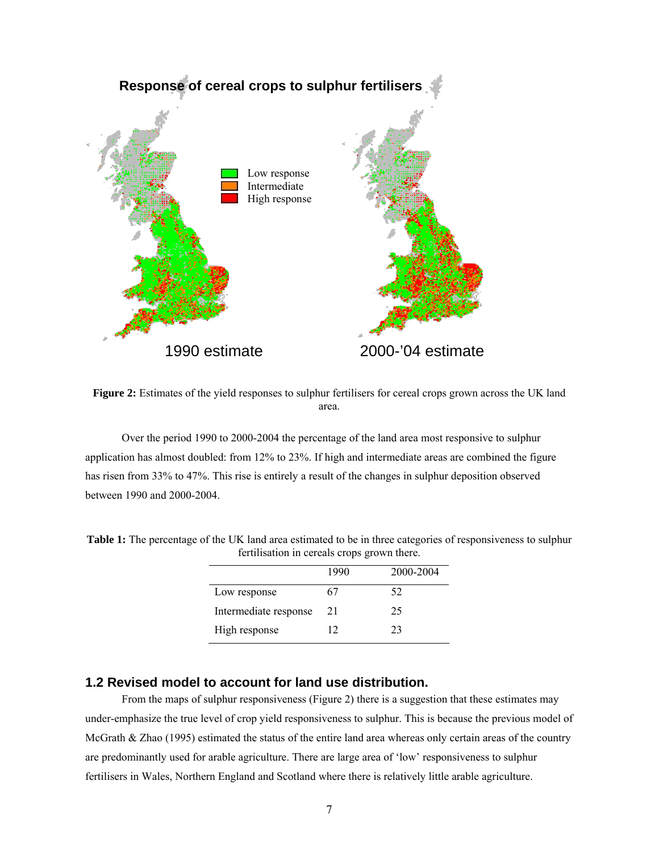

**Figure 2:** Estimates of the yield responses to sulphur fertilisers for cereal crops grown across the UK land area.

 Over the period 1990 to 2000-2004 the percentage of the land area most responsive to sulphur application has almost doubled: from 12% to 23%. If high and intermediate areas are combined the figure has risen from 33% to 47%. This rise is entirely a result of the changes in sulphur deposition observed between 1990 and 2000-2004.

| refunsation in ecreats crops grown there. |           |  |  |  |
|-------------------------------------------|-----------|--|--|--|
| 1990                                      | 2000-2004 |  |  |  |
| 67                                        | 52.       |  |  |  |
| 21                                        | 25        |  |  |  |
| 12                                        | 23        |  |  |  |
|                                           |           |  |  |  |

**Table 1:** The percentage of the UK land area estimated to be in three categories of responsiveness to sulphur fertilisation in cereals crops grown there.

## **1.2 Revised model to account for land use distribution.**

From the maps of sulphur responsiveness (Figure 2) there is a suggestion that these estimates may under-emphasize the true level of crop yield responsiveness to sulphur. This is because the previous model of McGrath & Zhao (1995) estimated the status of the entire land area whereas only certain areas of the country are predominantly used for arable agriculture. There are large area of 'low' responsiveness to sulphur fertilisers in Wales, Northern England and Scotland where there is relatively little arable agriculture.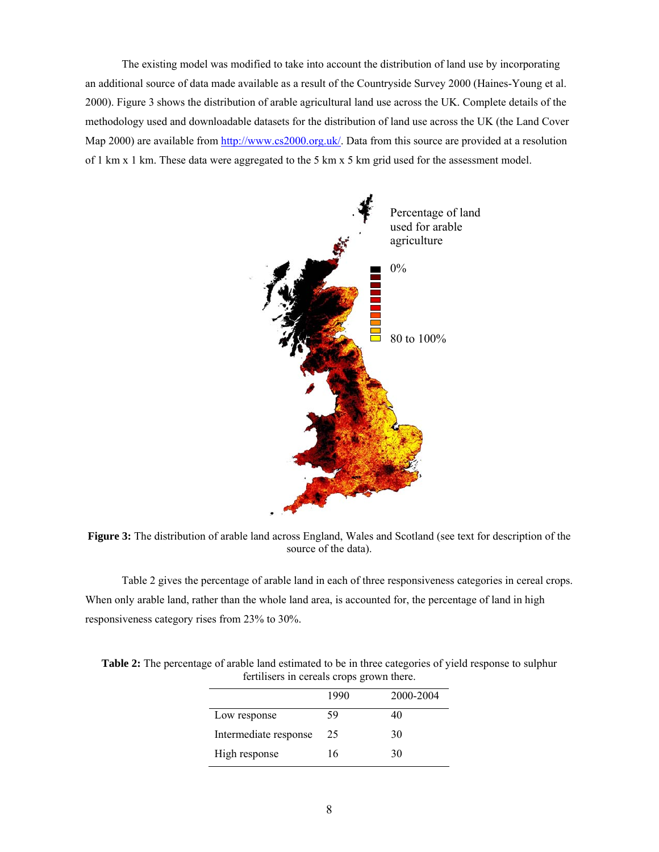The existing model was modified to take into account the distribution of land use by incorporating an additional source of data made available as a result of the Countryside Survey 2000 (Haines-Young et al. 2000). Figure 3 shows the distribution of arable agricultural land use across the UK. Complete details of the methodology used and downloadable datasets for the distribution of land use across the UK (the Land Cover Map 2000) are available from http://www.cs2000.org.uk/. Data from this source are provided at a resolution of 1 km x 1 km. These data were aggregated to the 5 km x 5 km grid used for the assessment model.



**Figure 3:** The distribution of arable land across England, Wales and Scotland (see text for description of the source of the data).

 Table 2 gives the percentage of arable land in each of three responsiveness categories in cereal crops. When only arable land, rather than the whole land area, is accounted for, the percentage of land in high responsiveness category rises from 23% to 30%.

| refunders in cercats crops grown there. |      |           |  |  |  |
|-----------------------------------------|------|-----------|--|--|--|
|                                         | 1990 | 2000-2004 |  |  |  |
| Low response                            | 59   | 40        |  |  |  |
| Intermediate response                   | 25   | 30        |  |  |  |
| High response                           | 16   | 30        |  |  |  |

**Table 2:** The percentage of arable land estimated to be in three categories of yield response to sulphur fertilisers in cereals crops grown there.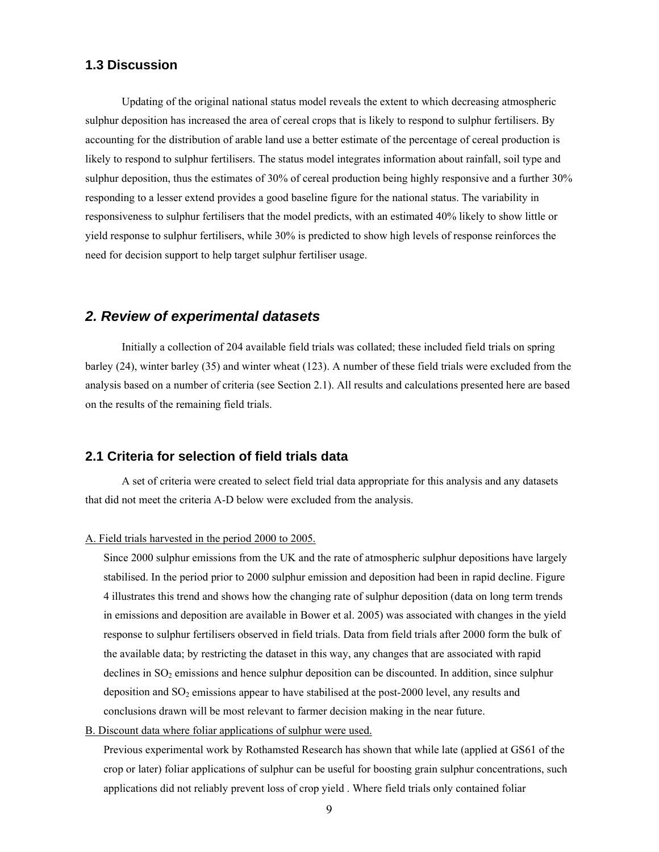## **1.3 Discussion**

 Updating of the original national status model reveals the extent to which decreasing atmospheric sulphur deposition has increased the area of cereal crops that is likely to respond to sulphur fertilisers. By accounting for the distribution of arable land use a better estimate of the percentage of cereal production is likely to respond to sulphur fertilisers. The status model integrates information about rainfall, soil type and sulphur deposition, thus the estimates of 30% of cereal production being highly responsive and a further 30% responding to a lesser extend provides a good baseline figure for the national status. The variability in responsiveness to sulphur fertilisers that the model predicts, with an estimated 40% likely to show little or yield response to sulphur fertilisers, while 30% is predicted to show high levels of response reinforces the need for decision support to help target sulphur fertiliser usage.

## *2. Review of experimental datasets*

 Initially a collection of 204 available field trials was collated; these included field trials on spring barley (24), winter barley (35) and winter wheat (123). A number of these field trials were excluded from the analysis based on a number of criteria (see Section 2.1). All results and calculations presented here are based on the results of the remaining field trials.

#### **2.1 Criteria for selection of field trials data**

A set of criteria were created to select field trial data appropriate for this analysis and any datasets that did not meet the criteria A-D below were excluded from the analysis.

#### A. Field trials harvested in the period 2000 to 2005.

Since 2000 sulphur emissions from the UK and the rate of atmospheric sulphur depositions have largely stabilised. In the period prior to 2000 sulphur emission and deposition had been in rapid decline. Figure 4 illustrates this trend and shows how the changing rate of sulphur deposition (data on long term trends in emissions and deposition are available in Bower et al. 2005) was associated with changes in the yield response to sulphur fertilisers observed in field trials. Data from field trials after 2000 form the bulk of the available data; by restricting the dataset in this way, any changes that are associated with rapid declines in  $SO<sub>2</sub>$  emissions and hence sulphur deposition can be discounted. In addition, since sulphur deposition and  $SO_2$  emissions appear to have stabilised at the post-2000 level, any results and conclusions drawn will be most relevant to farmer decision making in the near future.

B. Discount data where foliar applications of sulphur were used.

Previous experimental work by Rothamsted Research has shown that while late (applied at GS61 of the crop or later) foliar applications of sulphur can be useful for boosting grain sulphur concentrations, such applications did not reliably prevent loss of crop yield . Where field trials only contained foliar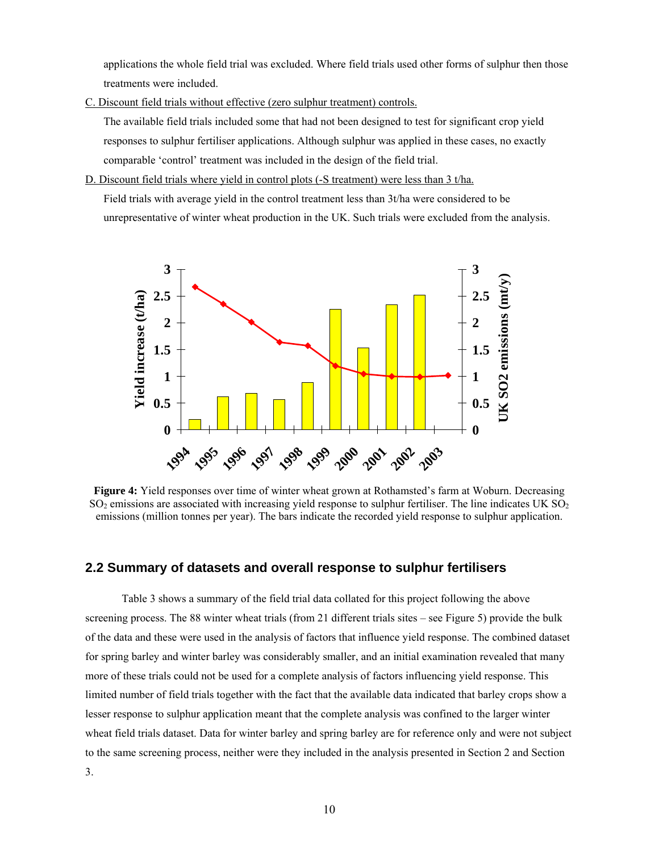applications the whole field trial was excluded. Where field trials used other forms of sulphur then those treatments were included.

C. Discount field trials without effective (zero sulphur treatment) controls.

The available field trials included some that had not been designed to test for significant crop yield responses to sulphur fertiliser applications. Although sulphur was applied in these cases, no exactly comparable 'control' treatment was included in the design of the field trial.

D. Discount field trials where yield in control plots (-S treatment) were less than 3 t/ha.

Field trials with average yield in the control treatment less than 3t/ha were considered to be unrepresentative of winter wheat production in the UK. Such trials were excluded from the analysis.



**Figure 4:** Yield responses over time of winter wheat grown at Rothamsted's farm at Woburn. Decreasing  $SO<sub>2</sub>$  emissions are associated with increasing yield response to sulphur fertiliser. The line indicates UK  $SO<sub>2</sub>$ emissions (million tonnes per year). The bars indicate the recorded yield response to sulphur application.

#### **2.2 Summary of datasets and overall response to sulphur fertilisers**

Table 3 shows a summary of the field trial data collated for this project following the above screening process. The 88 winter wheat trials (from 21 different trials sites – see Figure 5) provide the bulk of the data and these were used in the analysis of factors that influence yield response. The combined dataset for spring barley and winter barley was considerably smaller, and an initial examination revealed that many more of these trials could not be used for a complete analysis of factors influencing yield response. This limited number of field trials together with the fact that the available data indicated that barley crops show a lesser response to sulphur application meant that the complete analysis was confined to the larger winter wheat field trials dataset. Data for winter barley and spring barley are for reference only and were not subject to the same screening process, neither were they included in the analysis presented in Section 2 and Section 3.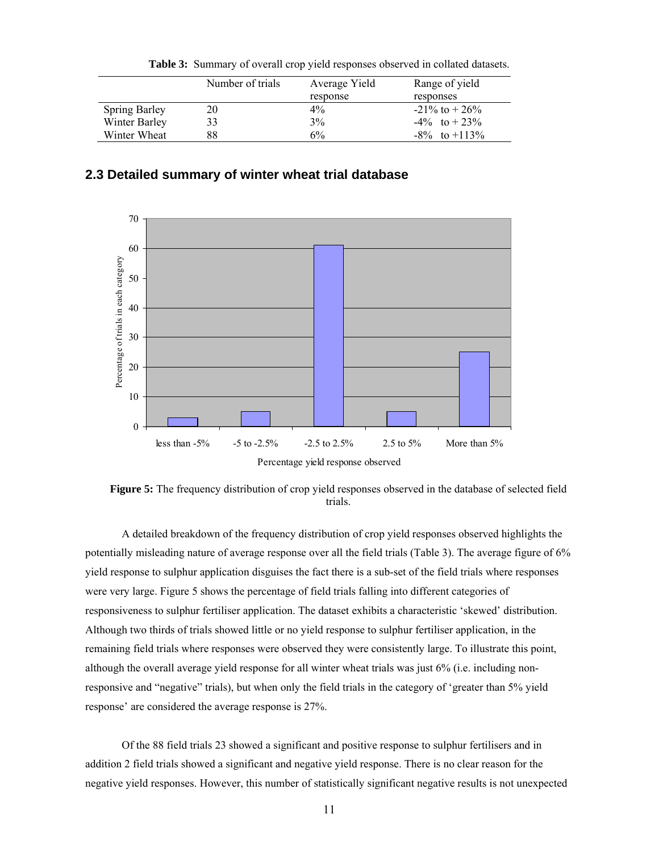|                      | Number of trials | Average Yield | Range of yield     |
|----------------------|------------------|---------------|--------------------|
|                      |                  | response      | responses          |
| <b>Spring Barley</b> | 20               | $4\%$         | $-21\%$ to $+26\%$ |
| Winter Barley        | 33               | 3%            | $-4\%$ to $+23\%$  |
| Winter Wheat         | 88               | 6%            | $-8\%$ to $+113\%$ |

**Table 3:** Summary of overall crop yield responses observed in collated datasets.

## **2.3 Detailed summary of winter wheat trial database**



Percentage yield response observed

**Figure 5:** The frequency distribution of crop yield responses observed in the database of selected field trials.

A detailed breakdown of the frequency distribution of crop yield responses observed highlights the potentially misleading nature of average response over all the field trials (Table 3). The average figure of 6% yield response to sulphur application disguises the fact there is a sub-set of the field trials where responses were very large. Figure 5 shows the percentage of field trials falling into different categories of responsiveness to sulphur fertiliser application. The dataset exhibits a characteristic 'skewed' distribution. Although two thirds of trials showed little or no yield response to sulphur fertiliser application, in the remaining field trials where responses were observed they were consistently large. To illustrate this point, although the overall average yield response for all winter wheat trials was just 6% (i.e. including nonresponsive and "negative" trials), but when only the field trials in the category of 'greater than 5% yield response' are considered the average response is 27%.

Of the 88 field trials 23 showed a significant and positive response to sulphur fertilisers and in addition 2 field trials showed a significant and negative yield response. There is no clear reason for the negative yield responses. However, this number of statistically significant negative results is not unexpected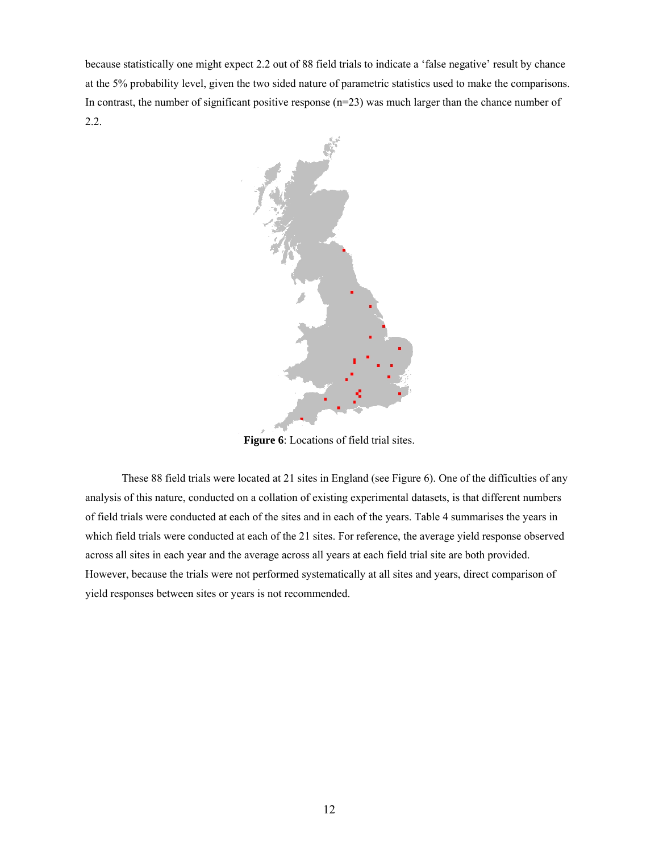because statistically one might expect 2.2 out of 88 field trials to indicate a 'false negative' result by chance at the 5% probability level, given the two sided nature of parametric statistics used to make the comparisons. In contrast, the number of significant positive response (n=23) was much larger than the chance number of 2.2.



**Figure 6**: Locations of field trial sites.

These 88 field trials were located at 21 sites in England (see Figure 6). One of the difficulties of any analysis of this nature, conducted on a collation of existing experimental datasets, is that different numbers of field trials were conducted at each of the sites and in each of the years. Table 4 summarises the years in which field trials were conducted at each of the 21 sites. For reference, the average yield response observed across all sites in each year and the average across all years at each field trial site are both provided. However, because the trials were not performed systematically at all sites and years, direct comparison of yield responses between sites or years is not recommended.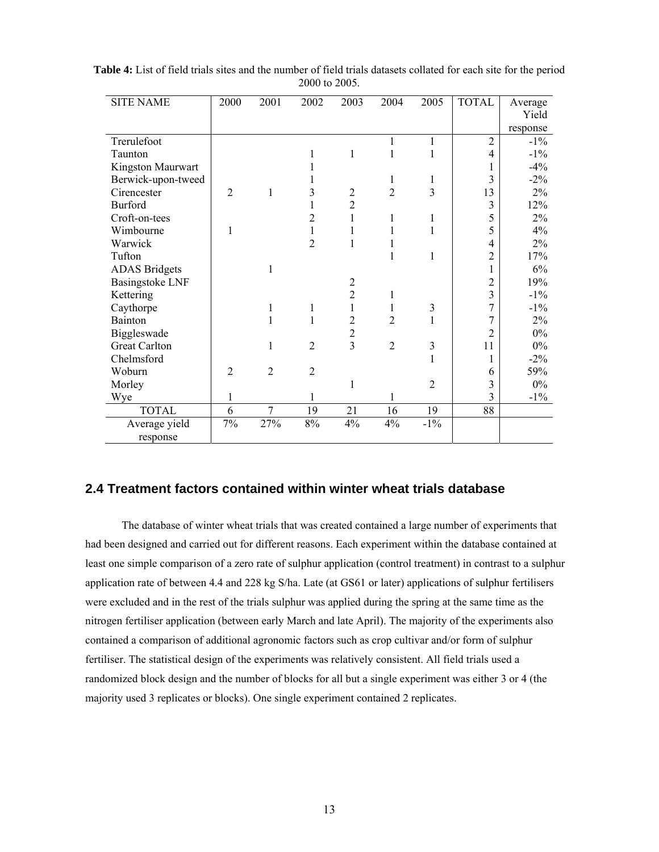| <b>SITE NAME</b>       | 2000           | 2001           | 2002           | 2003           | 2004           | 2005           | <b>TOTAL</b>   | Average  |
|------------------------|----------------|----------------|----------------|----------------|----------------|----------------|----------------|----------|
|                        |                |                |                |                |                |                |                | Yield    |
|                        |                |                |                |                |                |                |                | response |
| Trerulefoot            |                |                |                |                | 1              | 1              | $\overline{2}$ | $-1\%$   |
| Taunton                |                |                | 1              | 1              | 1              | 1              | 4              | $-1\%$   |
| Kingston Maurwart      |                |                |                |                |                |                | 1              | $-4%$    |
| Berwick-upon-tweed     |                |                |                |                | 1              | 1              | 3              | $-2\%$   |
| Cirencester            | $\overline{2}$ | 1              | 3              | $\overline{c}$ | $\overline{2}$ | 3              | 13             | 2%       |
| <b>Burford</b>         |                |                |                | $\overline{2}$ |                |                | 3              | 12%      |
| Croft-on-tees          |                |                | 2              | 1              | 1              | 1              | 5              | 2%       |
| Wimbourne              | 1              |                | 1              | 1              | 1              | 1              | 5              | 4%       |
| Warwick                |                |                | $\overline{2}$ | 1              | 1              |                | 4              | 2%       |
| Tufton                 |                |                |                |                | $\mathbf{1}$   | 1              | $\overline{2}$ | 17%      |
| <b>ADAS</b> Bridgets   |                | 1              |                |                |                |                | 1              | 6%       |
| <b>Basingstoke LNF</b> |                |                |                | $\overline{c}$ |                |                | $\overline{c}$ | 19%      |
| Kettering              |                |                |                | $\overline{2}$ | 1              |                | 3              | $-1\%$   |
| Caythorpe              |                | 1              | $\mathbf{1}$   | 1              | 1              | 3              | 7              | $-1\%$   |
| Bainton                |                | 1              | 1              | 2              | 2              | 1              | $\overline{7}$ | 2%       |
| Biggleswade            |                |                |                | 2              |                |                | $\overline{2}$ | $0\%$    |
| <b>Great Carlton</b>   |                | 1              | $\overline{2}$ | $\overline{3}$ | $\overline{2}$ | 3              | 11             | $0\%$    |
| Chelmsford             |                |                |                |                |                | 1              | 1              | $-2\%$   |
| Woburn                 | $\overline{2}$ | $\overline{2}$ | $\overline{2}$ |                |                |                | 6              | 59%      |
| Morley                 |                |                |                | 1              |                | $\overline{2}$ | 3              | $0\%$    |
| Wye                    | 1              |                |                |                |                |                | 3              | $-1\%$   |
| <b>TOTAL</b>           | 6              | 7              | 19             | 21             | 16             | 19             | 88             |          |
| Average yield          | 7%             | 27%            | 8%             | 4%             | 4%             | $-1\%$         |                |          |
| response               |                |                |                |                |                |                |                |          |

**Table 4:** List of field trials sites and the number of field trials datasets collated for each site for the period 2000 to 2005.

### **2.4 Treatment factors contained within winter wheat trials database**

 The database of winter wheat trials that was created contained a large number of experiments that had been designed and carried out for different reasons. Each experiment within the database contained at least one simple comparison of a zero rate of sulphur application (control treatment) in contrast to a sulphur application rate of between 4.4 and 228 kg S/ha. Late (at GS61 or later) applications of sulphur fertilisers were excluded and in the rest of the trials sulphur was applied during the spring at the same time as the nitrogen fertiliser application (between early March and late April). The majority of the experiments also contained a comparison of additional agronomic factors such as crop cultivar and/or form of sulphur fertiliser. The statistical design of the experiments was relatively consistent. All field trials used a randomized block design and the number of blocks for all but a single experiment was either 3 or 4 (the majority used 3 replicates or blocks). One single experiment contained 2 replicates.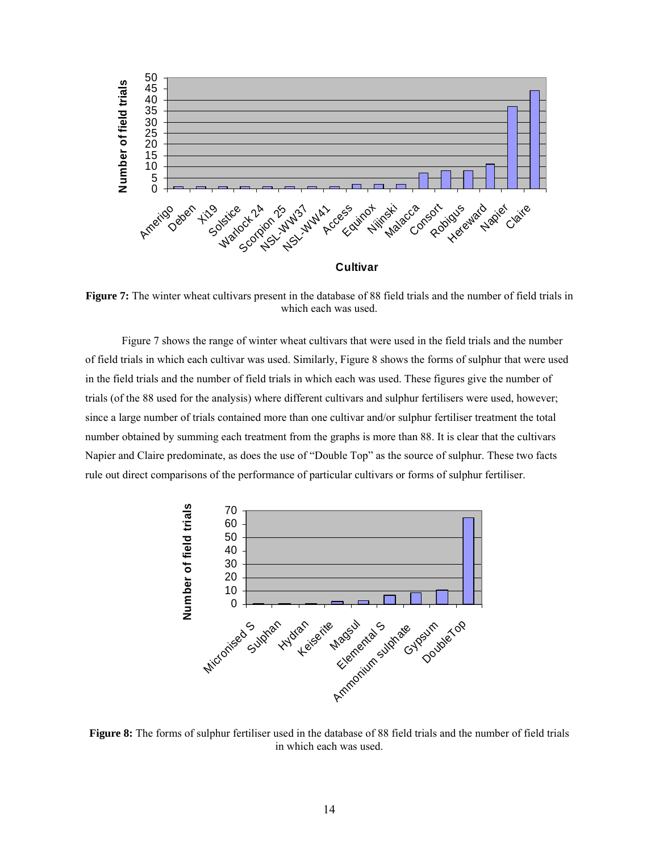

**Figure 7:** The winter wheat cultivars present in the database of 88 field trials and the number of field trials in which each was used.

Figure 7 shows the range of winter wheat cultivars that were used in the field trials and the number of field trials in which each cultivar was used. Similarly, Figure 8 shows the forms of sulphur that were used in the field trials and the number of field trials in which each was used. These figures give the number of trials (of the 88 used for the analysis) where different cultivars and sulphur fertilisers were used, however; since a large number of trials contained more than one cultivar and/or sulphur fertiliser treatment the total number obtained by summing each treatment from the graphs is more than 88. It is clear that the cultivars Napier and Claire predominate, as does the use of "Double Top" as the source of sulphur. These two facts rule out direct comparisons of the performance of particular cultivars or forms of sulphur fertiliser.



**Figure 8:** The forms of sulphur fertiliser used in the database of 88 field trials and the number of field trials in which each was used.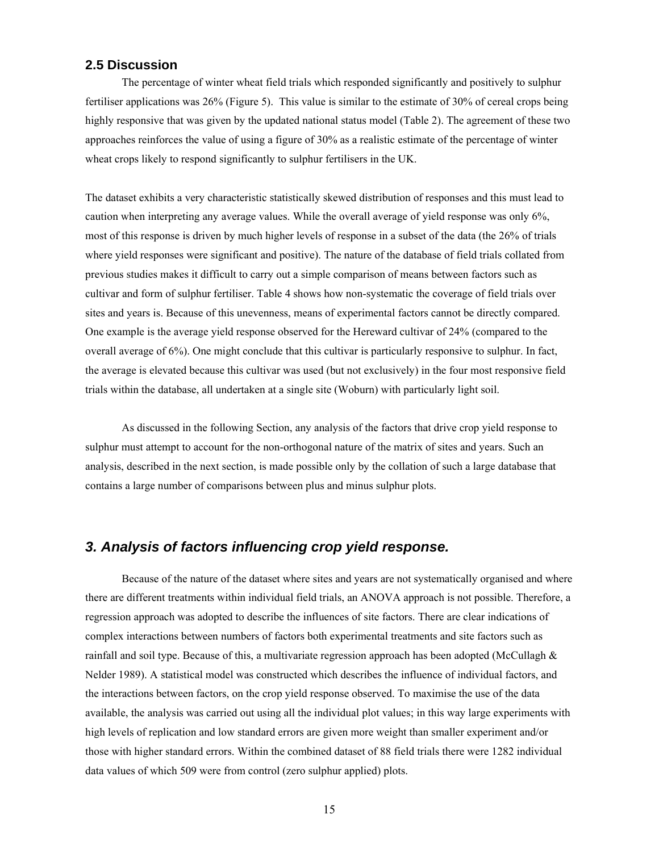#### **2.5 Discussion**

The percentage of winter wheat field trials which responded significantly and positively to sulphur fertiliser applications was 26% (Figure 5). This value is similar to the estimate of 30% of cereal crops being highly responsive that was given by the updated national status model (Table 2). The agreement of these two approaches reinforces the value of using a figure of 30% as a realistic estimate of the percentage of winter wheat crops likely to respond significantly to sulphur fertilisers in the UK.

The dataset exhibits a very characteristic statistically skewed distribution of responses and this must lead to caution when interpreting any average values. While the overall average of yield response was only 6%, most of this response is driven by much higher levels of response in a subset of the data (the 26% of trials where yield responses were significant and positive). The nature of the database of field trials collated from previous studies makes it difficult to carry out a simple comparison of means between factors such as cultivar and form of sulphur fertiliser. Table 4 shows how non-systematic the coverage of field trials over sites and years is. Because of this unevenness, means of experimental factors cannot be directly compared. One example is the average yield response observed for the Hereward cultivar of 24% (compared to the overall average of 6%). One might conclude that this cultivar is particularly responsive to sulphur. In fact, the average is elevated because this cultivar was used (but not exclusively) in the four most responsive field trials within the database, all undertaken at a single site (Woburn) with particularly light soil.

 As discussed in the following Section, any analysis of the factors that drive crop yield response to sulphur must attempt to account for the non-orthogonal nature of the matrix of sites and years. Such an analysis, described in the next section, is made possible only by the collation of such a large database that contains a large number of comparisons between plus and minus sulphur plots.

## *3. Analysis of factors influencing crop yield response.*

 Because of the nature of the dataset where sites and years are not systematically organised and where there are different treatments within individual field trials, an ANOVA approach is not possible. Therefore, a regression approach was adopted to describe the influences of site factors. There are clear indications of complex interactions between numbers of factors both experimental treatments and site factors such as rainfall and soil type. Because of this, a multivariate regression approach has been adopted (McCullagh  $\&$ Nelder 1989). A statistical model was constructed which describes the influence of individual factors, and the interactions between factors, on the crop yield response observed. To maximise the use of the data available, the analysis was carried out using all the individual plot values; in this way large experiments with high levels of replication and low standard errors are given more weight than smaller experiment and/or those with higher standard errors. Within the combined dataset of 88 field trials there were 1282 individual data values of which 509 were from control (zero sulphur applied) plots.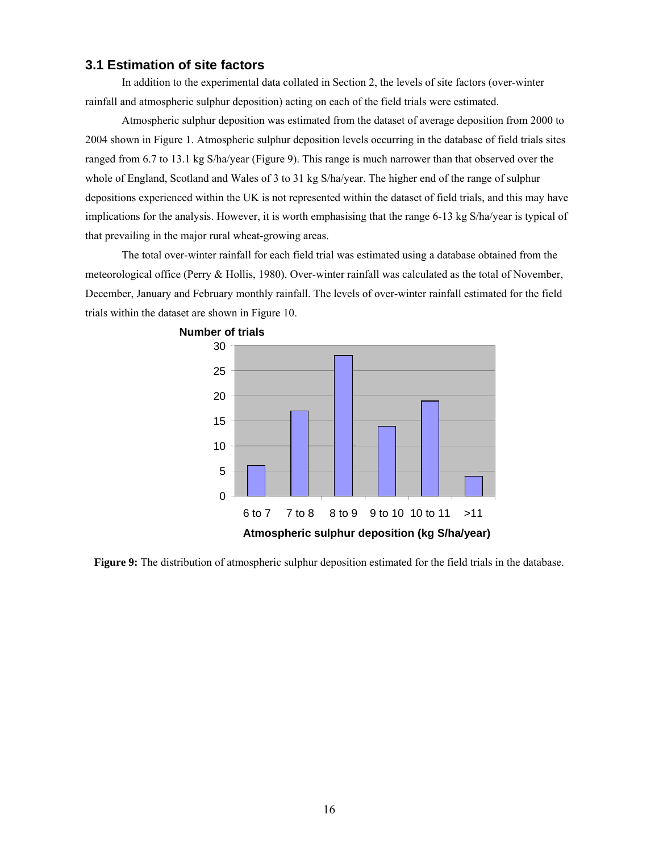## **3.1 Estimation of site factors**

 In addition to the experimental data collated in Section 2, the levels of site factors (over-winter rainfall and atmospheric sulphur deposition) acting on each of the field trials were estimated.

Atmospheric sulphur deposition was estimated from the dataset of average deposition from 2000 to 2004 shown in Figure 1. Atmospheric sulphur deposition levels occurring in the database of field trials sites ranged from 6.7 to 13.1 kg S/ha/year (Figure 9). This range is much narrower than that observed over the whole of England, Scotland and Wales of 3 to 31 kg S/ha/year. The higher end of the range of sulphur depositions experienced within the UK is not represented within the dataset of field trials, and this may have implications for the analysis. However, it is worth emphasising that the range 6-13 kg S/ha/year is typical of that prevailing in the major rural wheat-growing areas.

The total over-winter rainfall for each field trial was estimated using a database obtained from the meteorological office (Perry & Hollis, 1980). Over-winter rainfall was calculated as the total of November, December, January and February monthly rainfall. The levels of over-winter rainfall estimated for the field trials within the dataset are shown in Figure 10.



**Figure 9:** The distribution of atmospheric sulphur deposition estimated for the field trials in the database.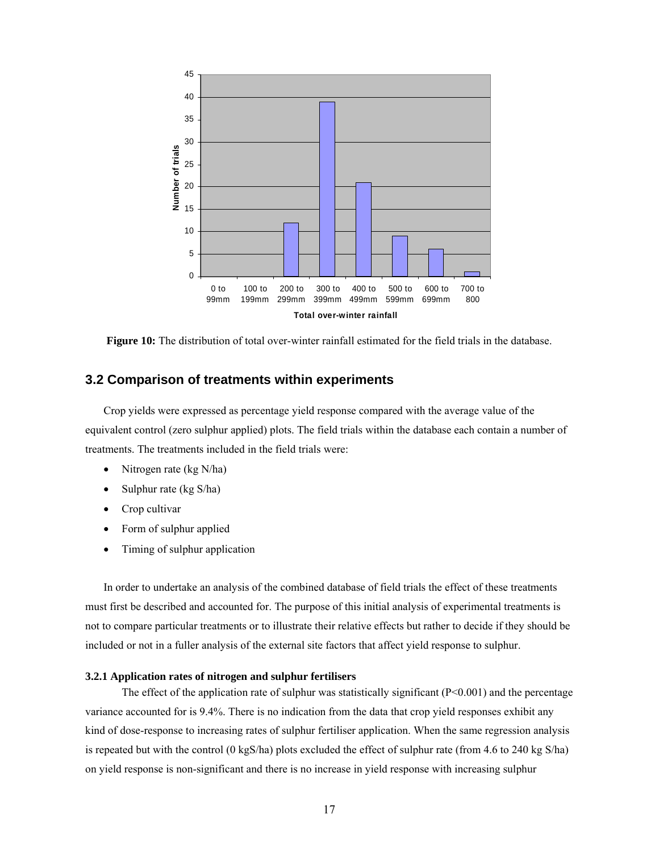

**Figure 10:** The distribution of total over-winter rainfall estimated for the field trials in the database.

## **3.2 Comparison of treatments within experiments**

Crop yields were expressed as percentage yield response compared with the average value of the equivalent control (zero sulphur applied) plots. The field trials within the database each contain a number of treatments. The treatments included in the field trials were:

- Nitrogen rate (kg N/ha)
- Sulphur rate (kg S/ha)
- Crop cultivar
- Form of sulphur applied
- Timing of sulphur application

In order to undertake an analysis of the combined database of field trials the effect of these treatments must first be described and accounted for. The purpose of this initial analysis of experimental treatments is not to compare particular treatments or to illustrate their relative effects but rather to decide if they should be included or not in a fuller analysis of the external site factors that affect yield response to sulphur.

#### **3.2.1 Application rates of nitrogen and sulphur fertilisers**

The effect of the application rate of sulphur was statistically significant  $(P<0.001)$  and the percentage variance accounted for is 9.4%. There is no indication from the data that crop yield responses exhibit any kind of dose-response to increasing rates of sulphur fertiliser application. When the same regression analysis is repeated but with the control (0 kgS/ha) plots excluded the effect of sulphur rate (from 4.6 to 240 kg S/ha) on yield response is non-significant and there is no increase in yield response with increasing sulphur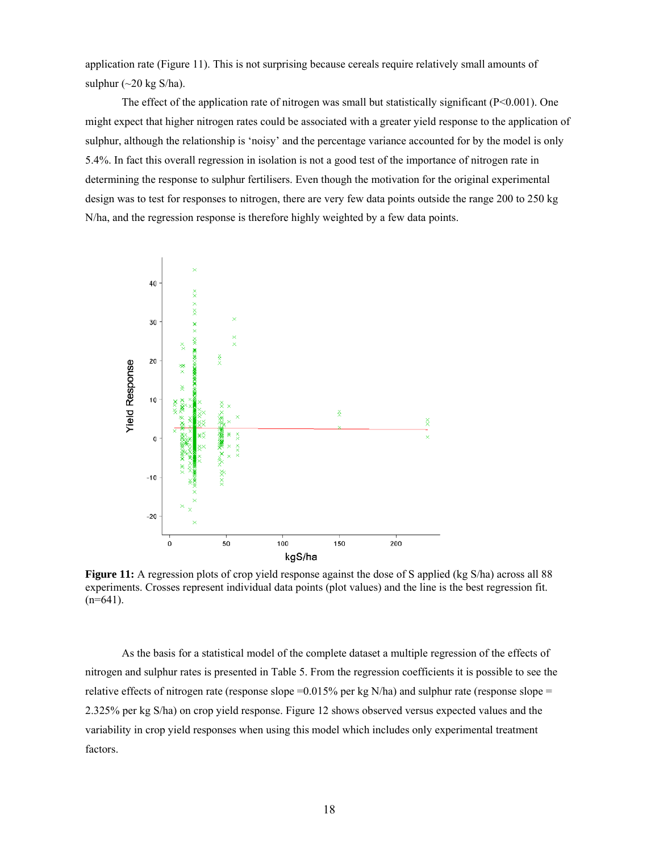application rate (Figure 11). This is not surprising because cereals require relatively small amounts of sulphur  $(\sim 20 \text{ kg S/ha})$ .

The effect of the application rate of nitrogen was small but statistically significant ( $P < 0.001$ ). One might expect that higher nitrogen rates could be associated with a greater yield response to the application of sulphur, although the relationship is 'noisy' and the percentage variance accounted for by the model is only 5.4%. In fact this overall regression in isolation is not a good test of the importance of nitrogen rate in determining the response to sulphur fertilisers. Even though the motivation for the original experimental design was to test for responses to nitrogen, there are very few data points outside the range 200 to 250 kg N/ha, and the regression response is therefore highly weighted by a few data points.



**Figure 11:** A regression plots of crop yield response against the dose of S applied (kg S/ha) across all 88 experiments. Crosses represent individual data points (plot values) and the line is the best regression fit.  $(n=641)$ .

As the basis for a statistical model of the complete dataset a multiple regression of the effects of nitrogen and sulphur rates is presented in Table 5. From the regression coefficients it is possible to see the relative effects of nitrogen rate (response slope  $=0.015%$  per kg N/ha) and sulphur rate (response slope  $=$ 2.325% per kg S/ha) on crop yield response. Figure 12 shows observed versus expected values and the variability in crop yield responses when using this model which includes only experimental treatment factors.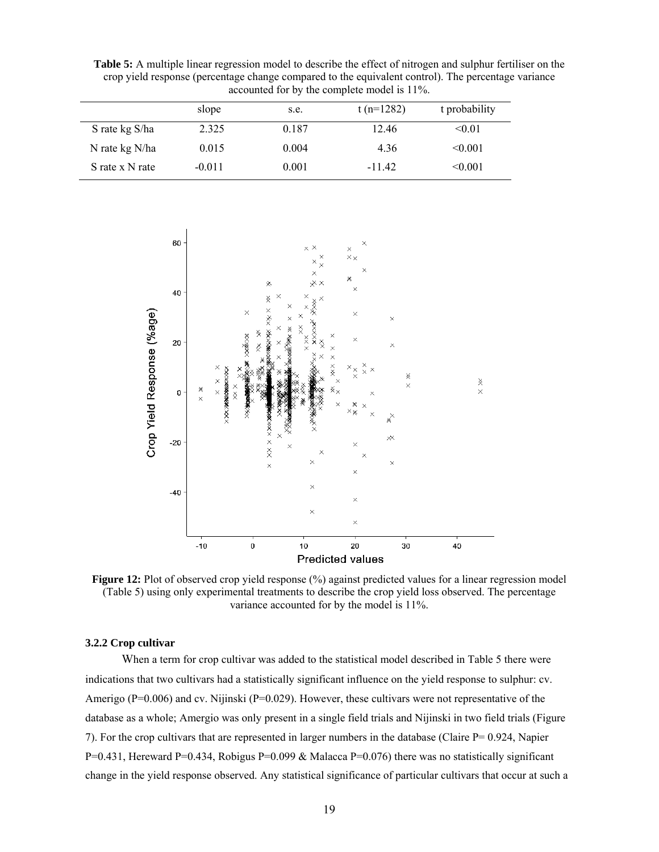**Table 5:** A multiple linear regression model to describe the effect of nitrogen and sulphur fertiliser on the crop yield response (percentage change compared to the equivalent control). The percentage variance accounted for by the complete model is 11%.

|                 | slope    | s.e.  | t (n= $1282$ ) | t probability |
|-----------------|----------|-------|----------------|---------------|
| S rate kg S/ha  | 2.325    | 0.187 | 12.46          | < 0.01        |
| N rate kg N/ha  | 0.015    | 0.004 | 4.36           | < 0.001       |
| S rate x N rate | $-0.011$ | 0.001 | $-11.42$       | < 0.001       |



**Figure 12:** Plot of observed crop yield response  $\%$ ) against predicted values for a linear regression model (Table 5) using only experimental treatments to describe the crop yield loss observed. The percentage variance accounted for by the model is 11%.

#### **3.2.2 Crop cultivar**

 When a term for crop cultivar was added to the statistical model described in Table 5 there were indications that two cultivars had a statistically significant influence on the yield response to sulphur: cv. Amerigo ( $P=0.006$ ) and cv. Nijinski ( $P=0.029$ ). However, these cultivars were not representative of the database as a whole; Amergio was only present in a single field trials and Nijinski in two field trials (Figure 7). For the crop cultivars that are represented in larger numbers in the database (Claire P= 0.924, Napier P=0.431, Hereward P=0.434, Robigus P=0.099 & Malacca P=0.076) there was no statistically significant change in the yield response observed. Any statistical significance of particular cultivars that occur at such a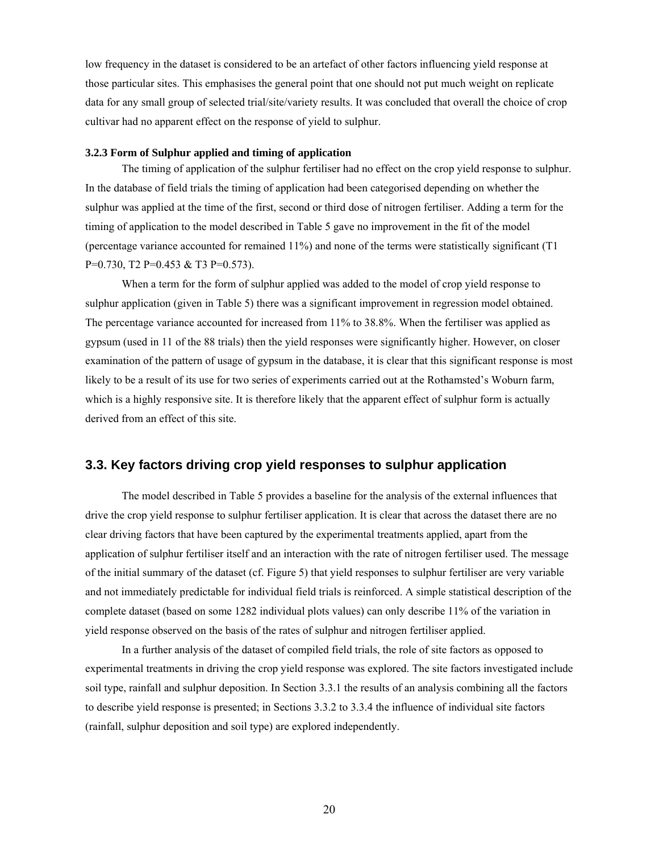low frequency in the dataset is considered to be an artefact of other factors influencing yield response at those particular sites. This emphasises the general point that one should not put much weight on replicate data for any small group of selected trial/site/variety results. It was concluded that overall the choice of crop cultivar had no apparent effect on the response of yield to sulphur.

#### **3.2.3 Form of Sulphur applied and timing of application**

 The timing of application of the sulphur fertiliser had no effect on the crop yield response to sulphur. In the database of field trials the timing of application had been categorised depending on whether the sulphur was applied at the time of the first, second or third dose of nitrogen fertiliser. Adding a term for the timing of application to the model described in Table 5 gave no improvement in the fit of the model (percentage variance accounted for remained 11%) and none of the terms were statistically significant (T1 P=0.730, T2 P=0.453 & T3 P=0.573).

 When a term for the form of sulphur applied was added to the model of crop yield response to sulphur application (given in Table 5) there was a significant improvement in regression model obtained. The percentage variance accounted for increased from 11% to 38.8%. When the fertiliser was applied as gypsum (used in 11 of the 88 trials) then the yield responses were significantly higher. However, on closer examination of the pattern of usage of gypsum in the database, it is clear that this significant response is most likely to be a result of its use for two series of experiments carried out at the Rothamsted's Woburn farm, which is a highly responsive site. It is therefore likely that the apparent effect of sulphur form is actually derived from an effect of this site.

#### **3.3. Key factors driving crop yield responses to sulphur application**

 The model described in Table 5 provides a baseline for the analysis of the external influences that drive the crop yield response to sulphur fertiliser application. It is clear that across the dataset there are no clear driving factors that have been captured by the experimental treatments applied, apart from the application of sulphur fertiliser itself and an interaction with the rate of nitrogen fertiliser used. The message of the initial summary of the dataset (cf. Figure 5) that yield responses to sulphur fertiliser are very variable and not immediately predictable for individual field trials is reinforced. A simple statistical description of the complete dataset (based on some 1282 individual plots values) can only describe 11% of the variation in yield response observed on the basis of the rates of sulphur and nitrogen fertiliser applied.

 In a further analysis of the dataset of compiled field trials, the role of site factors as opposed to experimental treatments in driving the crop yield response was explored. The site factors investigated include soil type, rainfall and sulphur deposition. In Section 3.3.1 the results of an analysis combining all the factors to describe yield response is presented; in Sections 3.3.2 to 3.3.4 the influence of individual site factors (rainfall, sulphur deposition and soil type) are explored independently.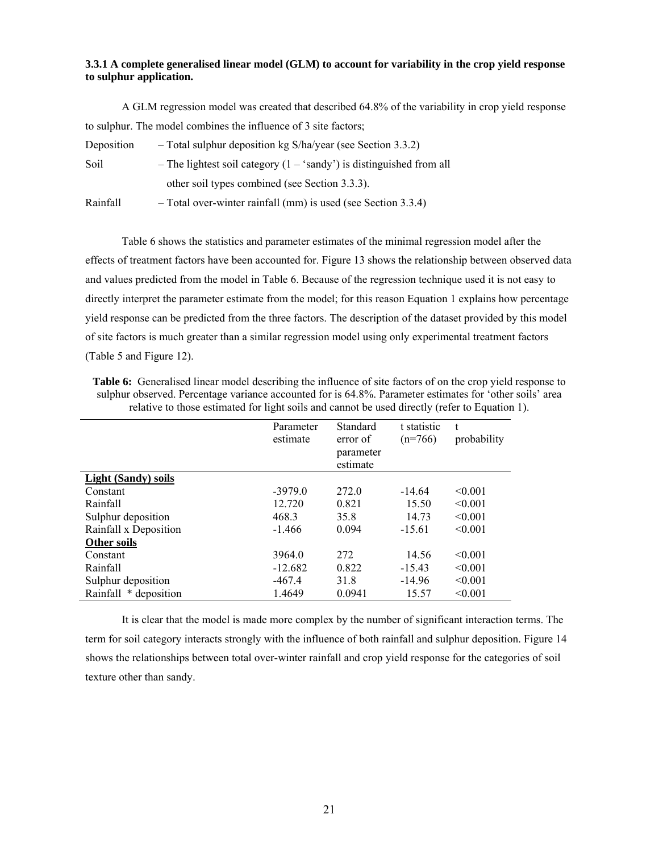#### **3.3.1 A complete generalised linear model (GLM) to account for variability in the crop yield response to sulphur application.**

 A GLM regression model was created that described 64.8% of the variability in crop yield response to sulphur. The model combines the influence of 3 site factors;

| Deposition | $-$ Total sulphur deposition kg S/ha/year (see Section 3.3.2)                 |
|------------|-------------------------------------------------------------------------------|
| Soil       | - The lightest soil category $(1 - \text{'sandy'})$ is distinguished from all |
|            | other soil types combined (see Section 3.3.3).                                |
| Rainfall   | - Total over-winter rainfall (mm) is used (see Section 3.3.4)                 |

Table 6 shows the statistics and parameter estimates of the minimal regression model after the effects of treatment factors have been accounted for. Figure 13 shows the relationship between observed data and values predicted from the model in Table 6. Because of the regression technique used it is not easy to directly interpret the parameter estimate from the model; for this reason Equation 1 explains how percentage yield response can be predicted from the three factors. The description of the dataset provided by this model of site factors is much greater than a similar regression model using only experimental treatment factors (Table 5 and Figure 12).

**Table 6:** Generalised linear model describing the influence of site factors of on the crop yield response to sulphur observed. Percentage variance accounted for is 64.8%. Parameter estimates for 'other soils' area relative to those estimated for light soils and cannot be used directly (refer to Equation 1).

|                            | Parameter<br>estimate | Standard<br>error of<br>parameter<br>estimate | t statistic<br>$(n=766)$ | t<br>probability |
|----------------------------|-----------------------|-----------------------------------------------|--------------------------|------------------|
| <b>Light (Sandy) soils</b> |                       |                                               |                          |                  |
| Constant                   | $-3979.0$             | 272.0                                         | $-14.64$                 | < 0.001          |
| Rainfall                   | 12.720                | 0.821                                         | 15.50                    | < 0.001          |
| Sulphur deposition         | 468.3                 | 35.8                                          | 14.73                    | < 0.001          |
| Rainfall x Deposition      | $-1.466$              | 0.094                                         | $-15.61$                 | < 0.001          |
| Other soils                |                       |                                               |                          |                  |
| Constant                   | 3964.0                | 272                                           | 14.56                    | < 0.001          |
| Rainfall                   | $-12.682$             | 0.822                                         | $-15.43$                 | < 0.001          |
| Sulphur deposition         | $-467.4$              | 31.8                                          | $-14.96$                 | < 0.001          |
| Rainfall * deposition      | 1.4649                | 0.0941                                        | 15.57                    | < 0.001          |

It is clear that the model is made more complex by the number of significant interaction terms. The term for soil category interacts strongly with the influence of both rainfall and sulphur deposition. Figure 14 shows the relationships between total over-winter rainfall and crop yield response for the categories of soil texture other than sandy.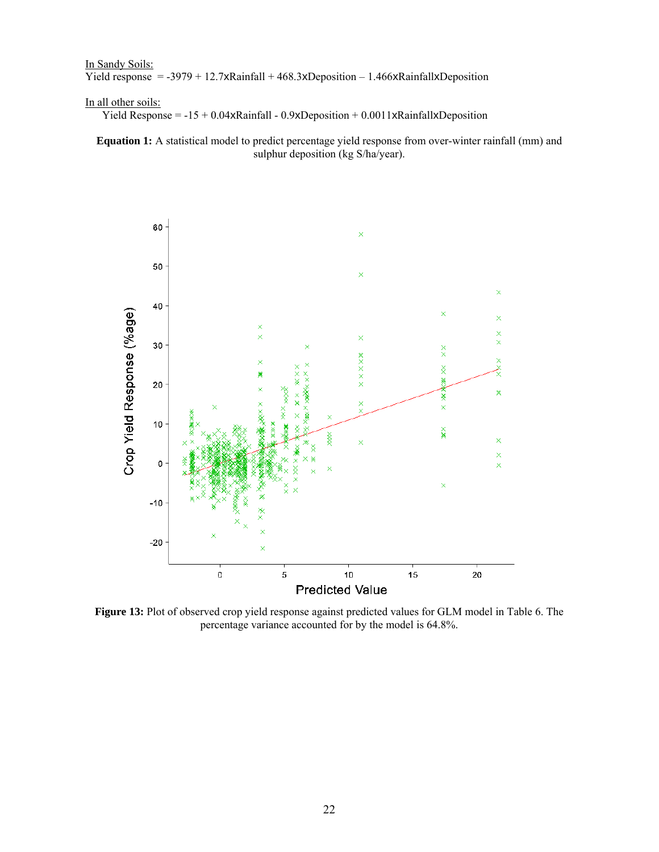In Sandy Soils: Yield response =  $-3979 + 12.7x$ Rainfall + 468.3xDeposition – 1.466xRainfallxDeposition

#### In all other soils:

Yield Response = -15 + 0.04xRainfall - 0.9xDeposition + 0.0011xRainfallxDeposition

**Equation 1:** A statistical model to predict percentage yield response from over-winter rainfall (mm) and sulphur deposition (kg S/ha/year).



**Figure 13:** Plot of observed crop yield response against predicted values for GLM model in Table 6. The percentage variance accounted for by the model is 64.8%.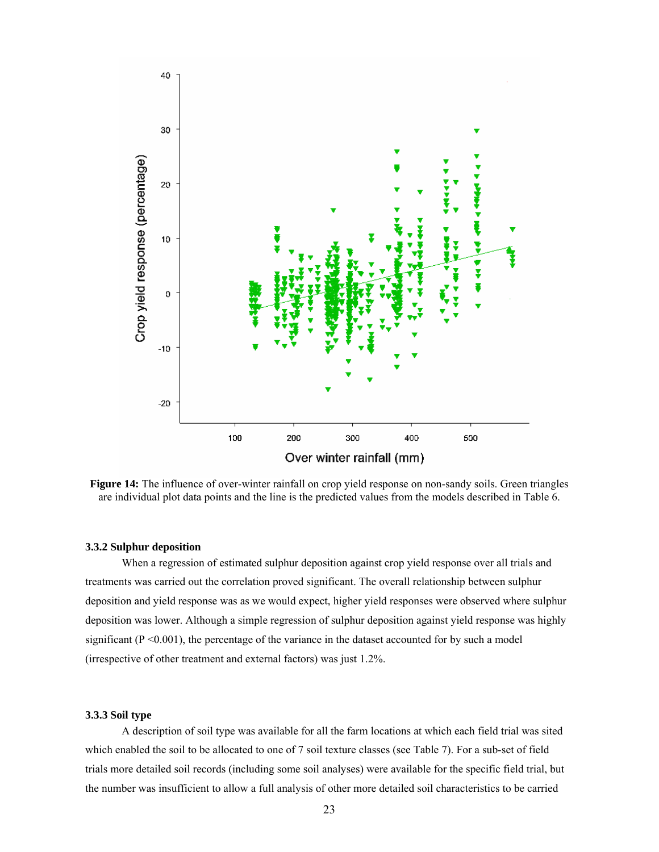

**Figure 14:** The influence of over-winter rainfall on crop yield response on non-sandy soils. Green triangles are individual plot data points and the line is the predicted values from the models described in Table 6.

#### **3.3.2 Sulphur deposition**

When a regression of estimated sulphur deposition against crop yield response over all trials and treatments was carried out the correlation proved significant. The overall relationship between sulphur deposition and yield response was as we would expect, higher yield responses were observed where sulphur deposition was lower. Although a simple regression of sulphur deposition against yield response was highly significant  $(P \le 0.001)$ , the percentage of the variance in the dataset accounted for by such a model (irrespective of other treatment and external factors) was just 1.2%.

#### **3.3.3 Soil type**

 A description of soil type was available for all the farm locations at which each field trial was sited which enabled the soil to be allocated to one of 7 soil texture classes (see Table 7). For a sub-set of field trials more detailed soil records (including some soil analyses) were available for the specific field trial, but the number was insufficient to allow a full analysis of other more detailed soil characteristics to be carried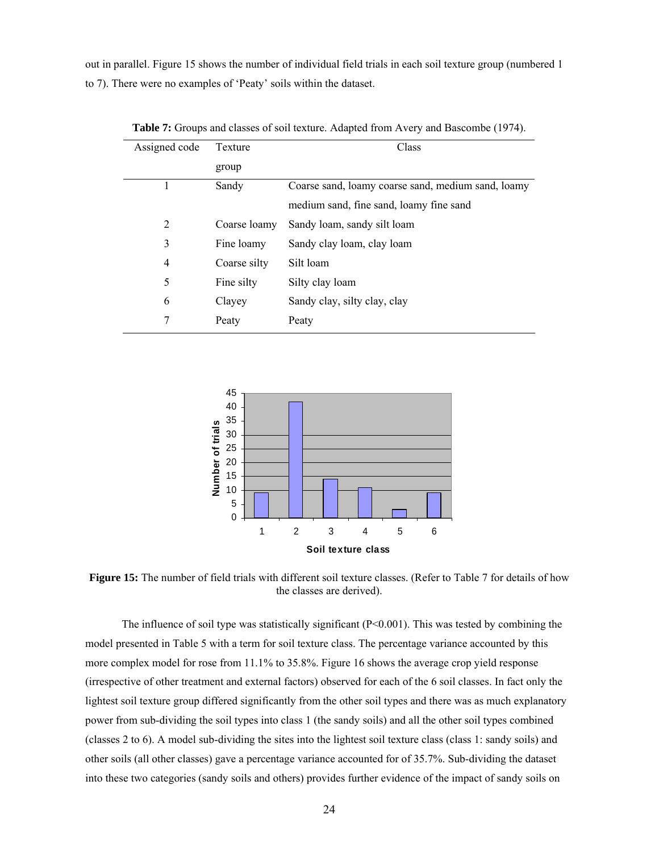out in parallel. Figure 15 shows the number of individual field trials in each soil texture group (numbered 1 to 7). There were no examples of 'Peaty' soils within the dataset.

| Assigned code  | Texture      | Class                                              |  |  |
|----------------|--------------|----------------------------------------------------|--|--|
|                | group        |                                                    |  |  |
|                | Sandy        | Coarse sand, loamy coarse sand, medium sand, loamy |  |  |
|                |              | medium sand, fine sand, loamy fine sand            |  |  |
| 2              | Coarse loamy | Sandy loam, sandy silt loam                        |  |  |
| 3              | Fine loamy   | Sandy clay loam, clay loam                         |  |  |
| $\overline{4}$ | Coarse silty | Silt loam                                          |  |  |
| 5              | Fine silty   | Silty clay loam                                    |  |  |
| 6              | Clayey       | Sandy clay, silty clay, clay                       |  |  |
| 7              | Peaty        | Peaty                                              |  |  |

**Table 7:** Groups and classes of soil texture. Adapted from Avery and Bascombe (1974).



**Figure 15:** The number of field trials with different soil texture classes. (Refer to Table 7 for details of how the classes are derived).

The influence of soil type was statistically significant  $(P< 0.001)$ . This was tested by combining the model presented in Table 5 with a term for soil texture class. The percentage variance accounted by this more complex model for rose from 11.1% to 35.8%. Figure 16 shows the average crop yield response (irrespective of other treatment and external factors) observed for each of the 6 soil classes. In fact only the lightest soil texture group differed significantly from the other soil types and there was as much explanatory power from sub-dividing the soil types into class 1 (the sandy soils) and all the other soil types combined (classes 2 to 6). A model sub-dividing the sites into the lightest soil texture class (class 1: sandy soils) and other soils (all other classes) gave a percentage variance accounted for of 35.7%. Sub-dividing the dataset into these two categories (sandy soils and others) provides further evidence of the impact of sandy soils on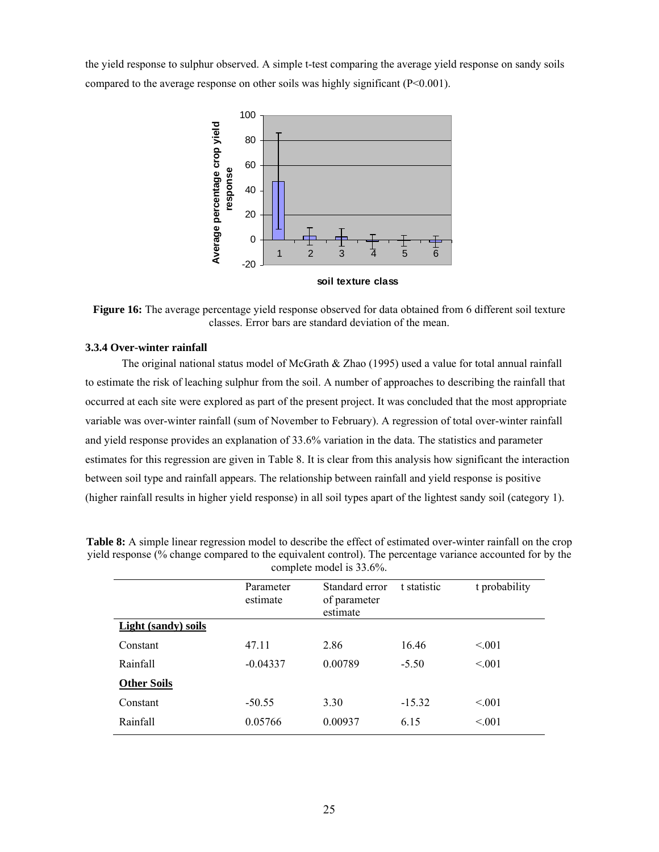the yield response to sulphur observed. A simple t-test comparing the average yield response on sandy soils compared to the average response on other soils was highly significant (P<0.001).



Figure 16: The average percentage yield response observed for data obtained from 6 different soil texture classes. Error bars are standard deviation of the mean.

#### **3.3.4 Over-winter rainfall**

 The original national status model of McGrath & Zhao (1995) used a value for total annual rainfall to estimate the risk of leaching sulphur from the soil. A number of approaches to describing the rainfall that occurred at each site were explored as part of the present project. It was concluded that the most appropriate variable was over-winter rainfall (sum of November to February). A regression of total over-winter rainfall and yield response provides an explanation of 33.6% variation in the data. The statistics and parameter estimates for this regression are given in Table 8. It is clear from this analysis how significant the interaction between soil type and rainfall appears. The relationship between rainfall and yield response is positive (higher rainfall results in higher yield response) in all soil types apart of the lightest sandy soil (category 1).

|                     | COMPLETE MOULE 15 JJ.070. |                                            |             |               |  |  |  |
|---------------------|---------------------------|--------------------------------------------|-------------|---------------|--|--|--|
|                     | Parameter<br>estimate     | Standard error<br>of parameter<br>estimate | t statistic | t probability |  |  |  |
| Light (sandy) soils |                           |                                            |             |               |  |  |  |
| Constant            | 47.11                     | 2.86                                       | 16.46       | < 0.01        |  |  |  |
| Rainfall            | $-0.04337$                | 0.00789                                    | $-5.50$     | < 0.01        |  |  |  |
| <b>Other Soils</b>  |                           |                                            |             |               |  |  |  |
| Constant            | $-50.55$                  | 3.30                                       | $-15.32$    | < 0.01        |  |  |  |
| Rainfall            | 0.05766                   | 0.00937                                    | 6.15        | < 0.01        |  |  |  |

**Table 8:** A simple linear regression model to describe the effect of estimated over-winter rainfall on the crop yield response (% change compared to the equivalent control). The percentage variance accounted for by the complete model is 33.6%.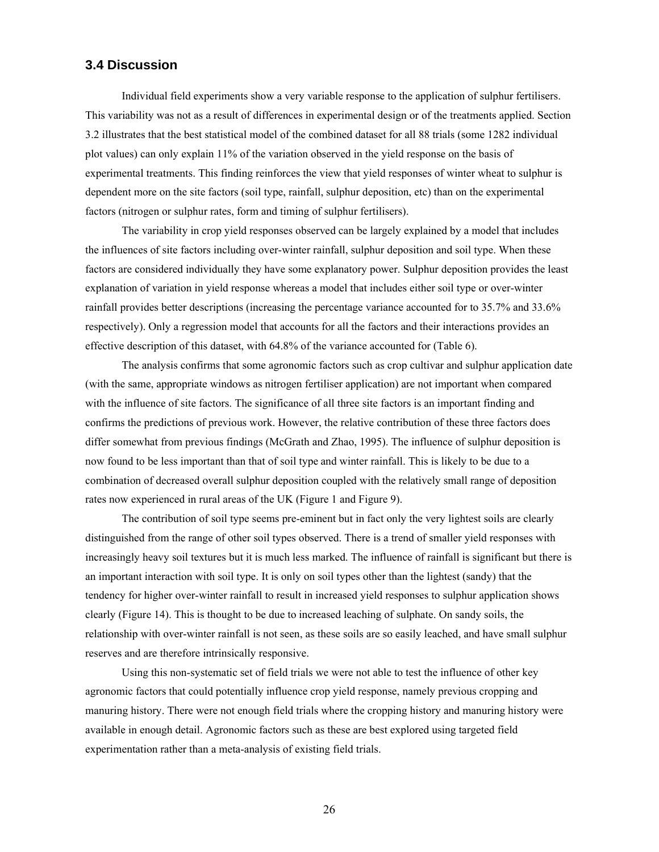### **3.4 Discussion**

Individual field experiments show a very variable response to the application of sulphur fertilisers. This variability was not as a result of differences in experimental design or of the treatments applied. Section 3.2 illustrates that the best statistical model of the combined dataset for all 88 trials (some 1282 individual plot values) can only explain 11% of the variation observed in the yield response on the basis of experimental treatments. This finding reinforces the view that yield responses of winter wheat to sulphur is dependent more on the site factors (soil type, rainfall, sulphur deposition, etc) than on the experimental factors (nitrogen or sulphur rates, form and timing of sulphur fertilisers).

The variability in crop yield responses observed can be largely explained by a model that includes the influences of site factors including over-winter rainfall, sulphur deposition and soil type. When these factors are considered individually they have some explanatory power. Sulphur deposition provides the least explanation of variation in yield response whereas a model that includes either soil type or over-winter rainfall provides better descriptions (increasing the percentage variance accounted for to 35.7% and 33.6% respectively). Only a regression model that accounts for all the factors and their interactions provides an effective description of this dataset, with 64.8% of the variance accounted for (Table 6).

The analysis confirms that some agronomic factors such as crop cultivar and sulphur application date (with the same, appropriate windows as nitrogen fertiliser application) are not important when compared with the influence of site factors. The significance of all three site factors is an important finding and confirms the predictions of previous work. However, the relative contribution of these three factors does differ somewhat from previous findings (McGrath and Zhao, 1995). The influence of sulphur deposition is now found to be less important than that of soil type and winter rainfall. This is likely to be due to a combination of decreased overall sulphur deposition coupled with the relatively small range of deposition rates now experienced in rural areas of the UK (Figure 1 and Figure 9).

The contribution of soil type seems pre-eminent but in fact only the very lightest soils are clearly distinguished from the range of other soil types observed. There is a trend of smaller yield responses with increasingly heavy soil textures but it is much less marked. The influence of rainfall is significant but there is an important interaction with soil type. It is only on soil types other than the lightest (sandy) that the tendency for higher over-winter rainfall to result in increased yield responses to sulphur application shows clearly (Figure 14). This is thought to be due to increased leaching of sulphate. On sandy soils, the relationship with over-winter rainfall is not seen, as these soils are so easily leached, and have small sulphur reserves and are therefore intrinsically responsive.

Using this non-systematic set of field trials we were not able to test the influence of other key agronomic factors that could potentially influence crop yield response, namely previous cropping and manuring history. There were not enough field trials where the cropping history and manuring history were available in enough detail. Agronomic factors such as these are best explored using targeted field experimentation rather than a meta-analysis of existing field trials.

26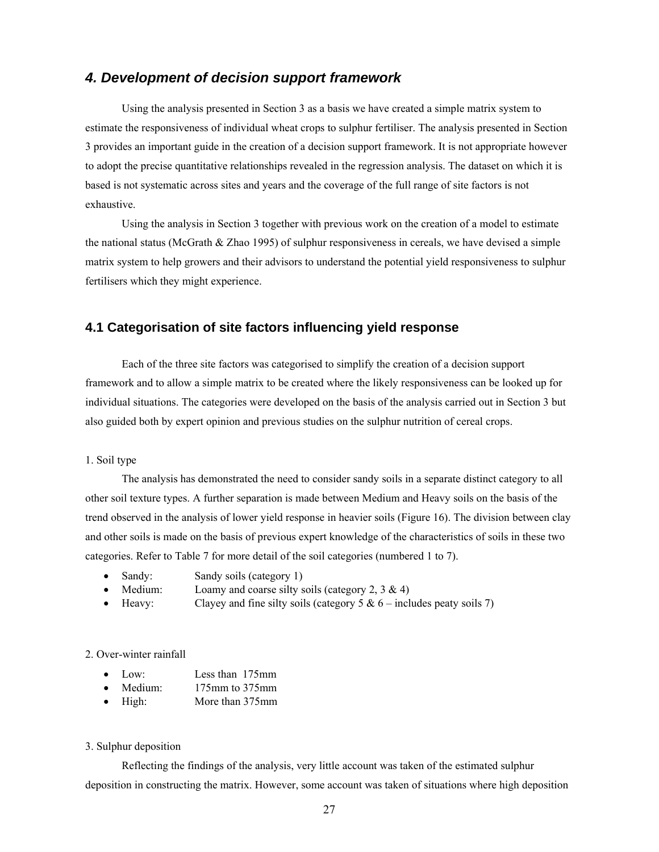## *4. Development of decision support framework*

Using the analysis presented in Section 3 as a basis we have created a simple matrix system to estimate the responsiveness of individual wheat crops to sulphur fertiliser. The analysis presented in Section 3 provides an important guide in the creation of a decision support framework. It is not appropriate however to adopt the precise quantitative relationships revealed in the regression analysis. The dataset on which it is based is not systematic across sites and years and the coverage of the full range of site factors is not exhaustive.

Using the analysis in Section 3 together with previous work on the creation of a model to estimate the national status (McGrath & Zhao 1995) of sulphur responsiveness in cereals, we have devised a simple matrix system to help growers and their advisors to understand the potential yield responsiveness to sulphur fertilisers which they might experience.

## **4.1 Categorisation of site factors influencing yield response**

 Each of the three site factors was categorised to simplify the creation of a decision support framework and to allow a simple matrix to be created where the likely responsiveness can be looked up for individual situations. The categories were developed on the basis of the analysis carried out in Section 3 but also guided both by expert opinion and previous studies on the sulphur nutrition of cereal crops.

#### 1. Soil type

 The analysis has demonstrated the need to consider sandy soils in a separate distinct category to all other soil texture types. A further separation is made between Medium and Heavy soils on the basis of the trend observed in the analysis of lower yield response in heavier soils (Figure 16). The division between clay and other soils is made on the basis of previous expert knowledge of the characteristics of soils in these two categories. Refer to Table 7 for more detail of the soil categories (numbered 1 to 7).

- Sandy: Sandy soils (category 1)
- Medium: Loamy and coarse silty soils (category 2,  $3 \& 4$ )
- Heavy: Clayey and fine silty soils (category  $5 & 6$  includes peaty soils 7)

#### 2. Over-winter rainfall

- Low: Less than 175mm
- Medium: 175mm to 375mm
- High: More than 375mm

#### 3. Sulphur deposition

Reflecting the findings of the analysis, very little account was taken of the estimated sulphur deposition in constructing the matrix. However, some account was taken of situations where high deposition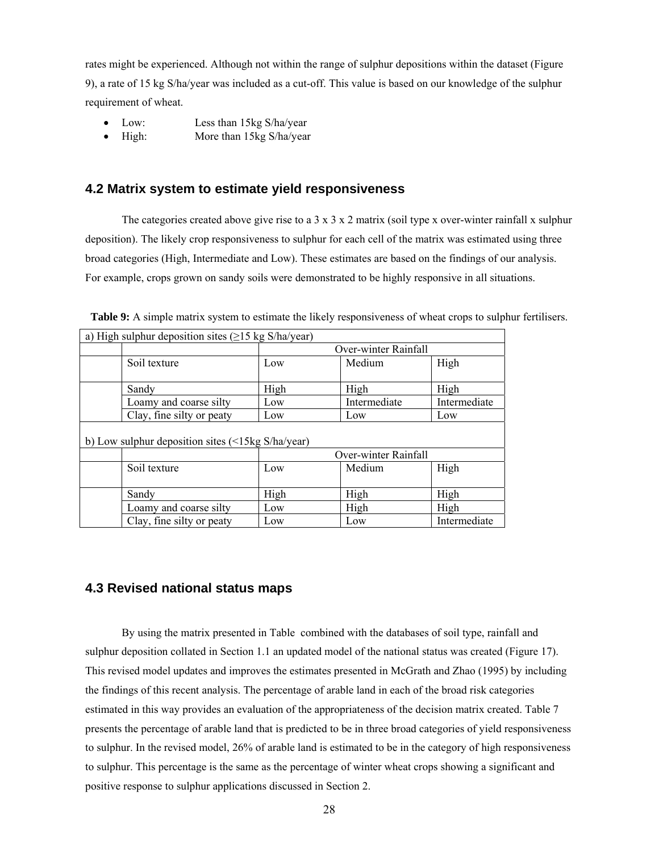rates might be experienced. Although not within the range of sulphur depositions within the dataset (Figure 9), a rate of 15 kg S/ha/year was included as a cut-off. This value is based on our knowledge of the sulphur requirement of wheat.

- Low: Less than 15kg S/ha/year
- High: More than 15kg S/ha/year

### **4.2 Matrix system to estimate yield responsiveness**

The categories created above give rise to a  $3 \times 3 \times 2$  matrix (soil type x over-winter rainfall x sulphur deposition). The likely crop responsiveness to sulphur for each cell of the matrix was estimated using three broad categories (High, Intermediate and Low). These estimates are based on the findings of our analysis. For example, crops grown on sandy soils were demonstrated to be highly responsive in all situations.

| a) High sulphur deposition sites $(\geq 15 \text{ kg S/ha/year})$ |                      |              |              |  |  |
|-------------------------------------------------------------------|----------------------|--------------|--------------|--|--|
|                                                                   | Over-winter Rainfall |              |              |  |  |
| Soil texture                                                      | Low                  | Medium       | High         |  |  |
| Sandy                                                             | High                 | High         | High         |  |  |
| Loamy and coarse silty                                            | Low                  | Intermediate | Intermediate |  |  |
| Clay, fine silty or peaty                                         | Low                  | Low          | Low          |  |  |
| b) Low sulphur deposition sites $\left($ <15kg S/ha/year)         |                      |              |              |  |  |
|                                                                   | Over-winter Rainfall |              |              |  |  |
| Soil texture                                                      | Low                  | Medium       | High         |  |  |
| Sandy                                                             | High                 | High         | High         |  |  |
| Loamy and coarse silty                                            | Low                  | High         | High         |  |  |
| Clay, fine silty or peaty                                         | Low                  | Low          | Intermediate |  |  |

**Table 9:** A simple matrix system to estimate the likely responsiveness of wheat crops to sulphur fertilisers.

#### **4.3 Revised national status maps**

 By using the matrix presented in Table combined with the databases of soil type, rainfall and sulphur deposition collated in Section 1.1 an updated model of the national status was created (Figure 17). This revised model updates and improves the estimates presented in McGrath and Zhao (1995) by including the findings of this recent analysis. The percentage of arable land in each of the broad risk categories estimated in this way provides an evaluation of the appropriateness of the decision matrix created. Table 7 presents the percentage of arable land that is predicted to be in three broad categories of yield responsiveness to sulphur. In the revised model, 26% of arable land is estimated to be in the category of high responsiveness to sulphur. This percentage is the same as the percentage of winter wheat crops showing a significant and positive response to sulphur applications discussed in Section 2.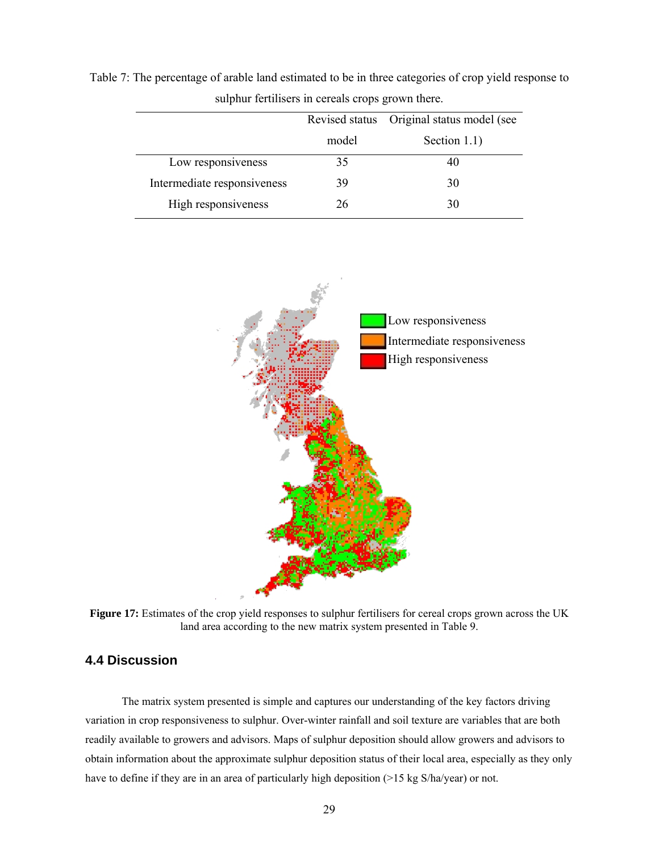|                             |       | Revised status Original status model (see |
|-----------------------------|-------|-------------------------------------------|
|                             | model | Section $1.1$ )                           |
| Low responsiveness          | 35    | 40                                        |
| Intermediate responsiveness | 39    | 30                                        |
| High responsiveness         | 26    | 30                                        |

Table 7: The percentage of arable land estimated to be in three categories of crop yield response to sulphur fertilisers in cereals crops grown there.



**Figure 17:** Estimates of the crop yield responses to sulphur fertilisers for cereal crops grown across the UK land area according to the new matrix system presented in Table 9.

## **4.4 Discussion**

The matrix system presented is simple and captures our understanding of the key factors driving variation in crop responsiveness to sulphur. Over-winter rainfall and soil texture are variables that are both readily available to growers and advisors. Maps of sulphur deposition should allow growers and advisors to obtain information about the approximate sulphur deposition status of their local area, especially as they only have to define if they are in an area of particularly high deposition (>15 kg S/ha/year) or not.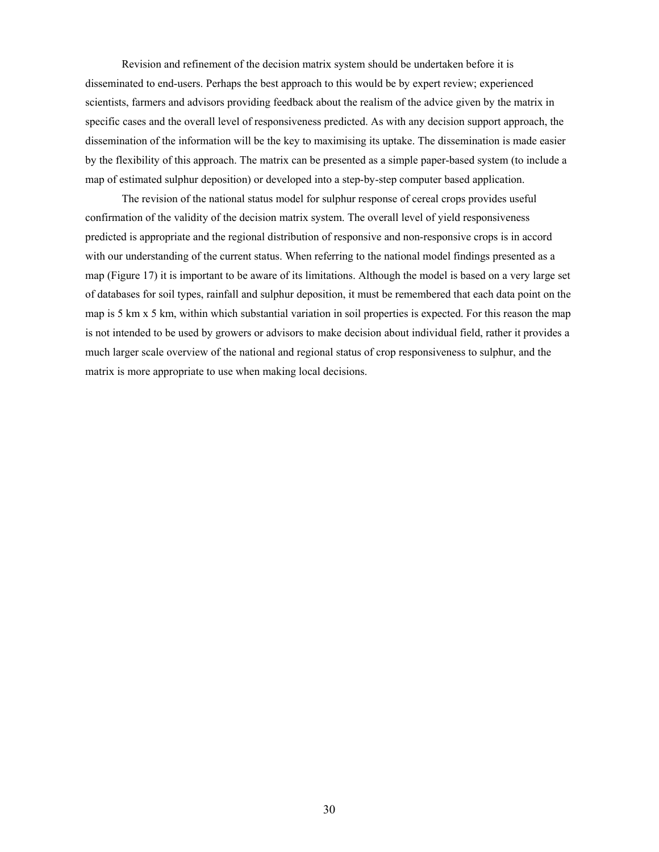Revision and refinement of the decision matrix system should be undertaken before it is disseminated to end-users. Perhaps the best approach to this would be by expert review; experienced scientists, farmers and advisors providing feedback about the realism of the advice given by the matrix in specific cases and the overall level of responsiveness predicted. As with any decision support approach, the dissemination of the information will be the key to maximising its uptake. The dissemination is made easier by the flexibility of this approach. The matrix can be presented as a simple paper-based system (to include a map of estimated sulphur deposition) or developed into a step-by-step computer based application.

The revision of the national status model for sulphur response of cereal crops provides useful confirmation of the validity of the decision matrix system. The overall level of yield responsiveness predicted is appropriate and the regional distribution of responsive and non-responsive crops is in accord with our understanding of the current status. When referring to the national model findings presented as a map (Figure 17) it is important to be aware of its limitations. Although the model is based on a very large set of databases for soil types, rainfall and sulphur deposition, it must be remembered that each data point on the map is 5 km x 5 km, within which substantial variation in soil properties is expected. For this reason the map is not intended to be used by growers or advisors to make decision about individual field, rather it provides a much larger scale overview of the national and regional status of crop responsiveness to sulphur, and the matrix is more appropriate to use when making local decisions.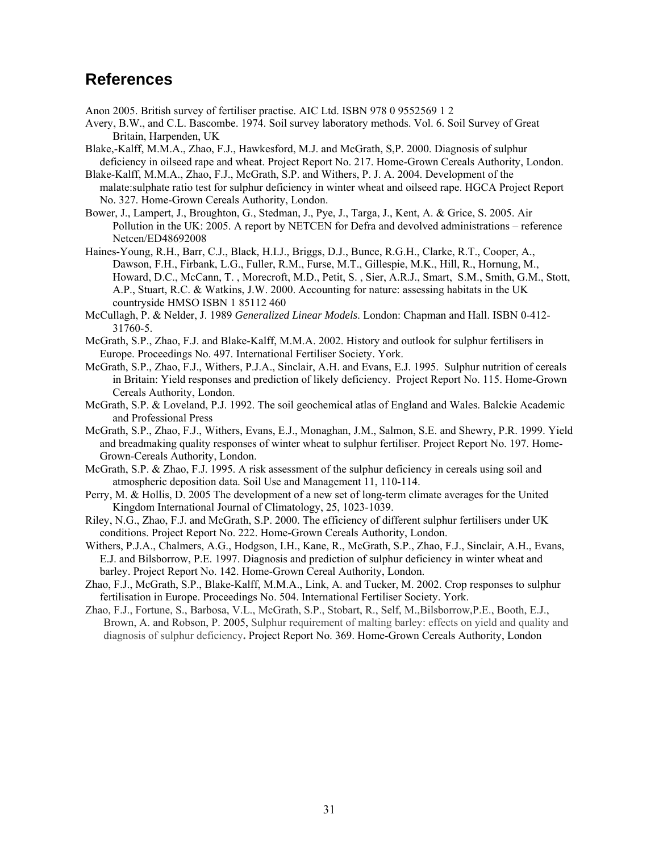## **References**

Anon 2005. British survey of fertiliser practise. AIC Ltd. ISBN 978 0 9552569 1 2

- Avery, B.W., and C.L. Bascombe. 1974. Soil survey laboratory methods. Vol. 6. Soil Survey of Great Britain, Harpenden, UK
- Blake,-Kalff, M.M.A., Zhao, F.J., Hawkesford, M.J. and McGrath, S,P. 2000. Diagnosis of sulphur deficiency in oilseed rape and wheat. Project Report No. 217. Home-Grown Cereals Authority, London.
- Blake-Kalff, M.M.A., Zhao, F.J., McGrath, S.P. and Withers, P. J. A. 2004. Development of the malate:sulphate ratio test for sulphur deficiency in winter wheat and oilseed rape. HGCA Project Report No. 327. Home-Grown Cereals Authority, London.
- Bower, J., Lampert, J., Broughton, G., Stedman, J., Pye, J., Targa, J., Kent, A. & Grice, S. 2005. Air Pollution in the UK: 2005. A report by NETCEN for Defra and devolved administrations – reference Netcen/ED48692008
- Haines-Young, R.H., Barr, C.J., Black, H.I.J., Briggs, D.J., Bunce, R.G.H., Clarke, R.T., Cooper, A., Dawson, F.H., Firbank, L.G., Fuller, R.M., Furse, M.T., Gillespie, M.K., Hill, R., Hornung, M., Howard, D.C., McCann, T. , Morecroft, M.D., Petit, S. , Sier, A.R.J., Smart, S.M., Smith, G.M., Stott, A.P., Stuart, R.C. & Watkins, J.W. 2000. Accounting for nature: assessing habitats in the UK countryside HMSO ISBN 1 85112 460
- McCullagh, P. & Nelder, J. 1989 *Generalized Linear Models*. London: Chapman and Hall. ISBN 0-412- 31760-5.
- McGrath, S.P., Zhao, F.J. and Blake-Kalff, M.M.A. 2002. History and outlook for sulphur fertilisers in Europe. Proceedings No. 497. International Fertiliser Society. York.
- McGrath, S.P., Zhao, F.J., Withers, P.J.A., Sinclair, A.H. and Evans, E.J. 1995. Sulphur nutrition of cereals in Britain: Yield responses and prediction of likely deficiency. Project Report No. 115. Home-Grown Cereals Authority, London.
- McGrath, S.P. & Loveland, P.J. 1992. The soil geochemical atlas of England and Wales. Balckie Academic and Professional Press
- McGrath, S.P., Zhao, F.J., Withers, Evans, E.J., Monaghan, J.M., Salmon, S.E. and Shewry, P.R. 1999. Yield and breadmaking quality responses of winter wheat to sulphur fertiliser. Project Report No. 197. Home-Grown-Cereals Authority, London.
- McGrath, S.P. & Zhao, F.J. 1995. A risk assessment of the sulphur deficiency in cereals using soil and atmospheric deposition data. Soil Use and Management 11, 110-114.
- Perry, M. & Hollis, D. 2005 The development of a new set of long-term climate averages for the United Kingdom International Journal of Climatology, 25, 1023-1039.
- Riley, N.G., Zhao, F.J. and McGrath, S.P. 2000. The efficiency of different sulphur fertilisers under UK conditions. Project Report No. 222. Home-Grown Cereals Authority, London.
- Withers, P.J.A., Chalmers, A.G., Hodgson, I.H., Kane, R., McGrath, S.P., Zhao, F.J., Sinclair, A.H., Evans, E.J. and Bilsborrow, P.E. 1997. Diagnosis and prediction of sulphur deficiency in winter wheat and barley. Project Report No. 142. Home-Grown Cereal Authority, London.
- Zhao, F.J., McGrath, S.P., Blake-Kalff, M.M.A., Link, A. and Tucker, M. 2002. Crop responses to sulphur fertilisation in Europe. Proceedings No. 504. International Fertiliser Society. York.
- Zhao, F.J., Fortune, S., Barbosa, V.L., McGrath, S.P., Stobart, R., Self, M.,Bilsborrow,P.E., Booth, E.J., Brown, A. and Robson, P. 2005, Sulphur requirement of malting barley: effects on yield and quality and diagnosis of sulphur deficiency**.** Project Report No. 369. Home-Grown Cereals Authority, London